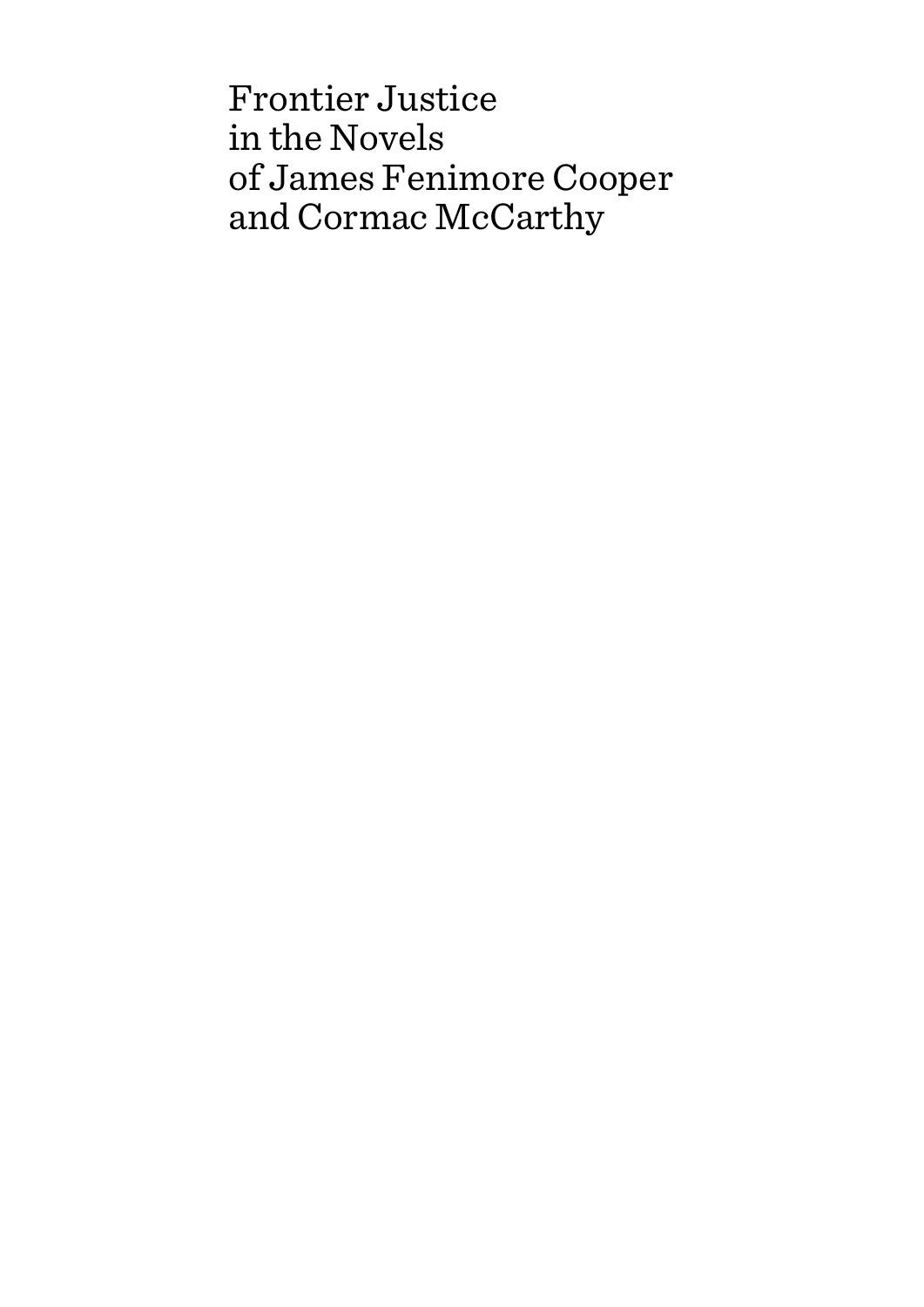Frontier Justice in the Novels of James Fenimore Cooper and Cormac McCarthy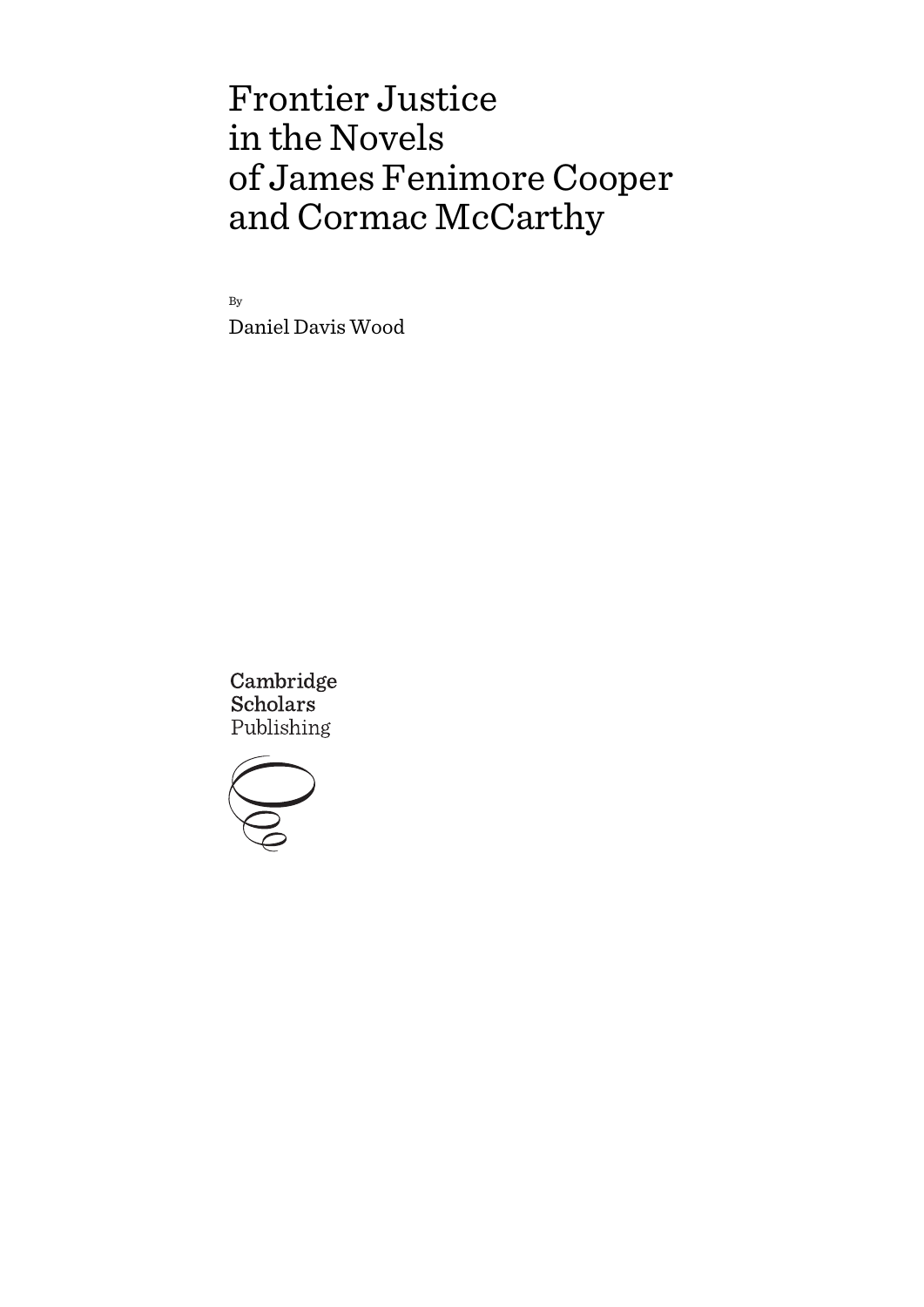# Frontier Justice in the Novels of James Fenimore Cooper and Cormac McCarthy

By

Daniel Davis Wood

Cambridge **Scholars** Publishing

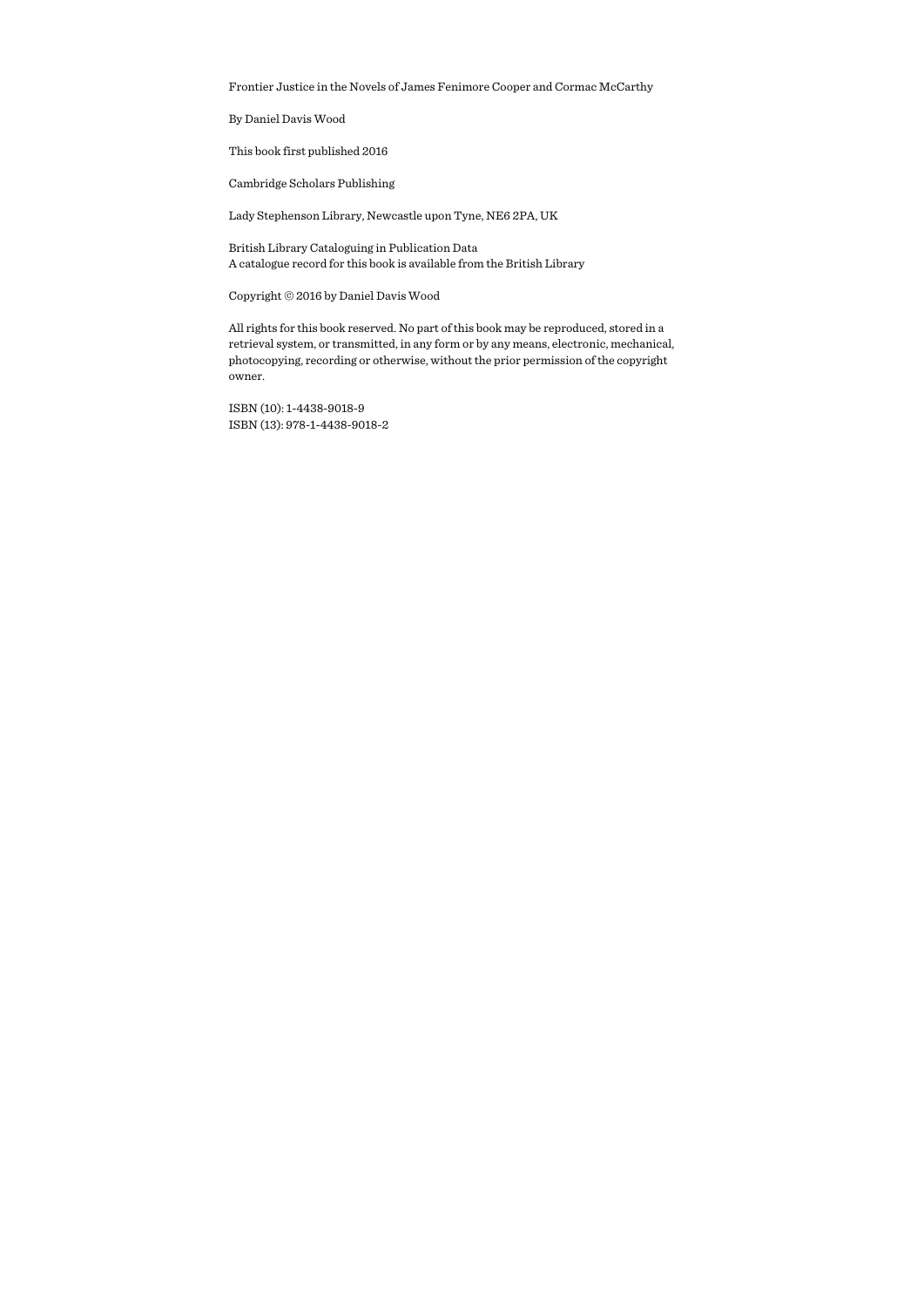Frontier Justice in the Novels of James Fenimore Cooper and Cormac McCarthy

By Daniel Davis Wood

This book first published 2016

Cambridge Scholars Publishing

Lady Stephenson Library, Newcastle upon Tyne, NE6 2PA, UK

British Library Cataloguing in Publication Data A catalogue record for this book is available from the British Library

Copyright © 2016 by Daniel Davis Wood

All rights for this book reserved. No part of this book may be reproduced, stored in a retrieval system, or transmitted, in any form or by any means, electronic, mechanical, photocopying, recording or otherwise, without the prior permission of the copyright owner.

ISBN (10): 1-4438-9018-9 ISBN (13): 978-1-4438-9018-2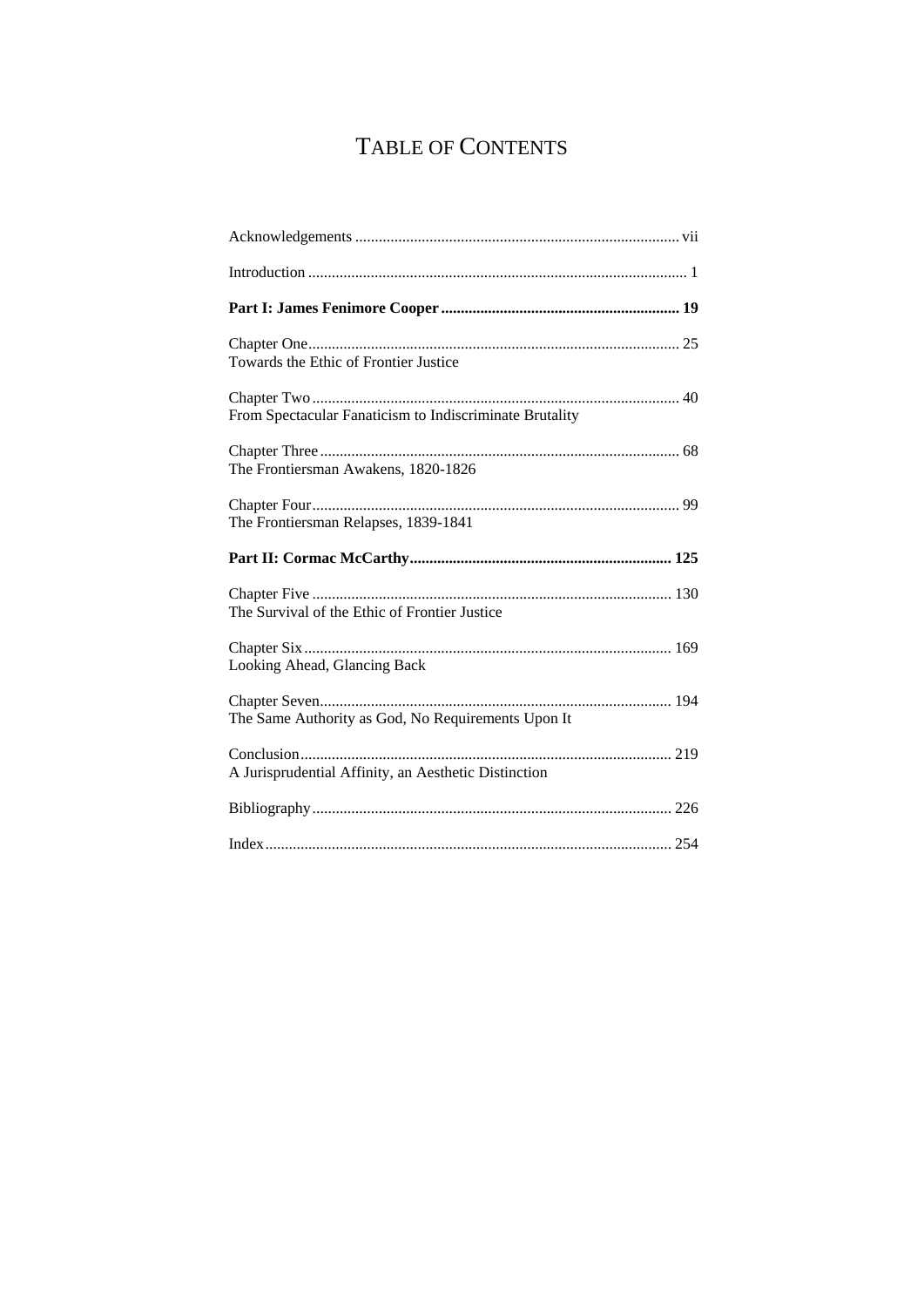## TABLE OF CONTENTS

| Towards the Ethic of Frontier Justice                   |  |
|---------------------------------------------------------|--|
| From Spectacular Fanaticism to Indiscriminate Brutality |  |
| The Frontiersman Awakens, 1820-1826                     |  |
| The Frontiersman Relapses, 1839-1841                    |  |
|                                                         |  |
|                                                         |  |
| The Survival of the Ethic of Frontier Justice           |  |
| Looking Ahead, Glancing Back                            |  |
| The Same Authority as God, No Requirements Upon It      |  |
| A Jurisprudential Affinity, an Aesthetic Distinction    |  |
|                                                         |  |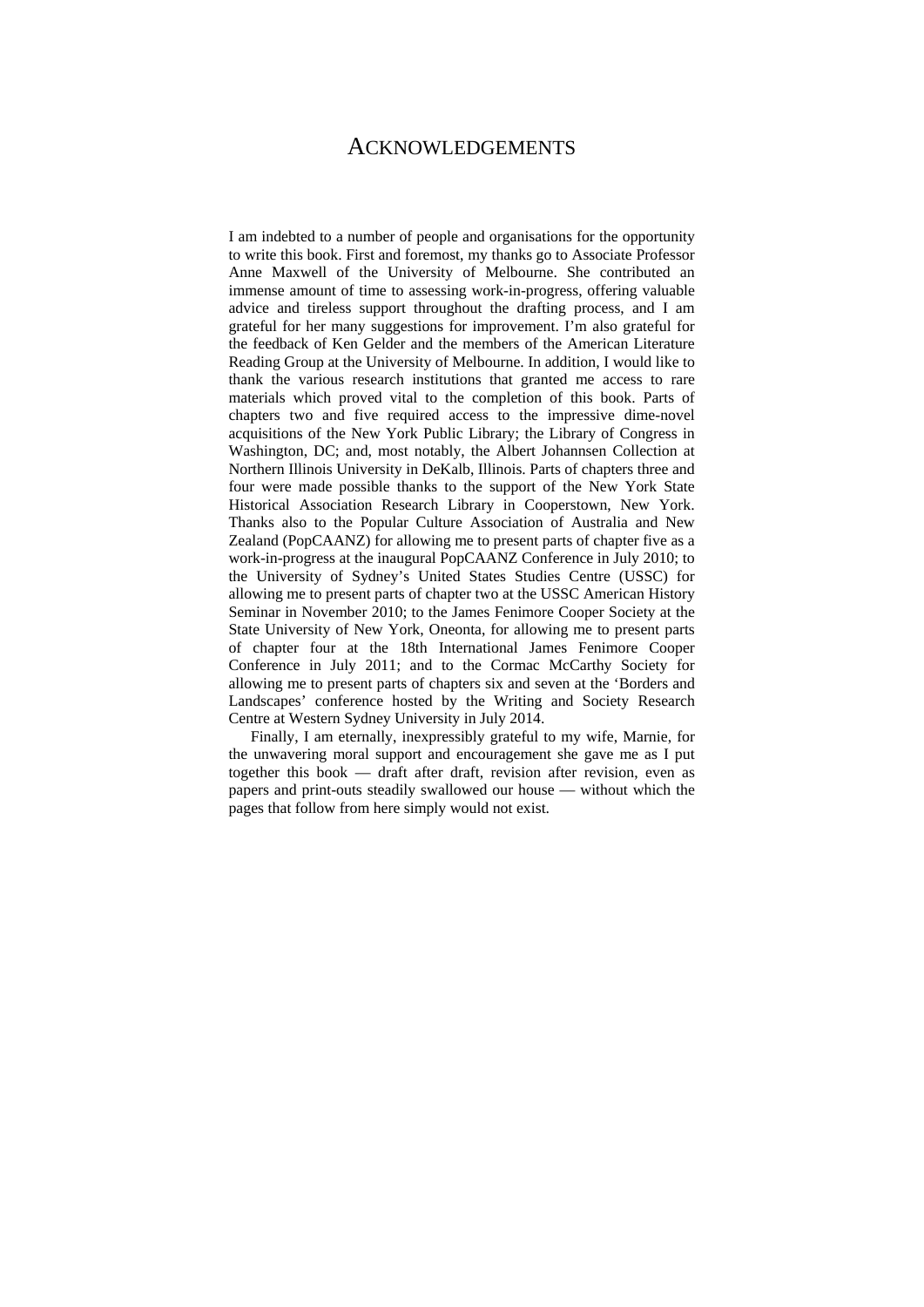### ACKNOWLEDGEMENTS

I am indebted to a number of people and organisations for the opportunity to write this book. First and foremost, my thanks go to Associate Professor Anne Maxwell of the University of Melbourne. She contributed an immense amount of time to assessing work-in-progress, offering valuable advice and tireless support throughout the drafting process, and I am grateful for her many suggestions for improvement. I'm also grateful for the feedback of Ken Gelder and the members of the American Literature Reading Group at the University of Melbourne. In addition, I would like to thank the various research institutions that granted me access to rare materials which proved vital to the completion of this book. Parts of chapters two and five required access to the impressive dime-novel acquisitions of the New York Public Library; the Library of Congress in Washington, DC; and, most notably, the Albert Johannsen Collection at Northern Illinois University in DeKalb, Illinois. Parts of chapters three and four were made possible thanks to the support of the New York State Historical Association Research Library in Cooperstown, New York. Thanks also to the Popular Culture Association of Australia and New Zealand (PopCAANZ) for allowing me to present parts of chapter five as a work-in-progress at the inaugural PopCAANZ Conference in July 2010; to the University of Sydney's United States Studies Centre (USSC) for allowing me to present parts of chapter two at the USSC American History Seminar in November 2010; to the James Fenimore Cooper Society at the State University of New York, Oneonta, for allowing me to present parts of chapter four at the 18th International James Fenimore Cooper Conference in July 2011; and to the Cormac McCarthy Society for allowing me to present parts of chapters six and seven at the 'Borders and Landscapes' conference hosted by the Writing and Society Research Centre at Western Sydney University in July 2014.

Finally, I am eternally, inexpressibly grateful to my wife, Marnie, for the unwavering moral support and encouragement she gave me as I put together this book — draft after draft, revision after revision, even as papers and print-outs steadily swallowed our house — without which the pages that follow from here simply would not exist.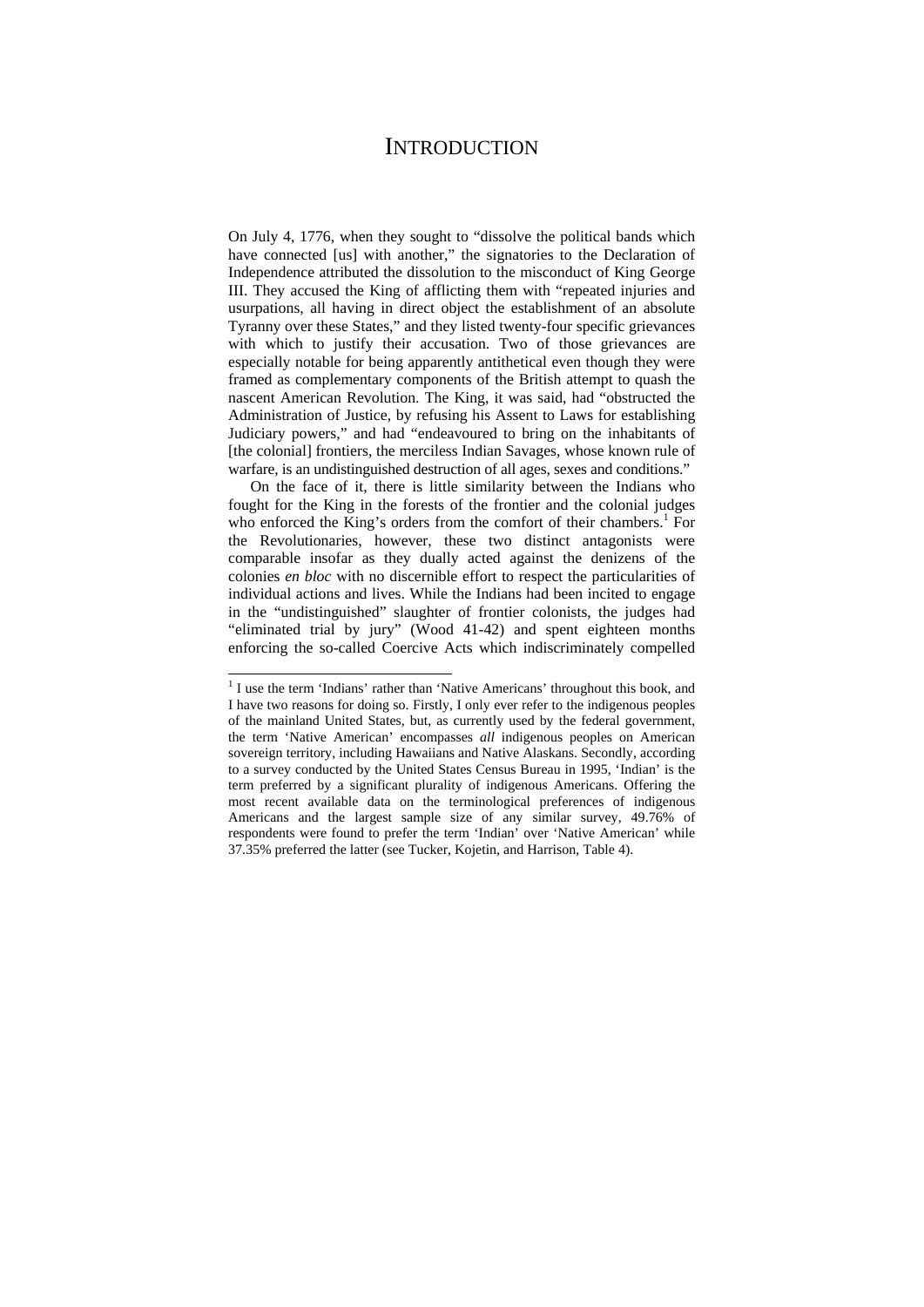## **INTRODUCTION**

On July 4, 1776, when they sought to "dissolve the political bands which have connected [us] with another," the signatories to the Declaration of Independence attributed the dissolution to the misconduct of King George III. They accused the King of afflicting them with "repeated injuries and usurpations, all having in direct object the establishment of an absolute Tyranny over these States," and they listed twenty-four specific grievances with which to justify their accusation. Two of those grievances are especially notable for being apparently antithetical even though they were framed as complementary components of the British attempt to quash the nascent American Revolution. The King, it was said, had "obstructed the Administration of Justice, by refusing his Assent to Laws for establishing Judiciary powers," and had "endeavoured to bring on the inhabitants of [the colonial] frontiers, the merciless Indian Savages, whose known rule of warfare, is an undistinguished destruction of all ages, sexes and conditions."

On the face of it, there is little similarity between the Indians who fought for the King in the forests of the frontier and the colonial judges who enforced the King's orders from the comfort of their chambers.<sup>1</sup> For the Revolutionaries, however, these two distinct antagonists were comparable insofar as they dually acted against the denizens of the colonies *en bloc* with no discernible effort to respect the particularities of individual actions and lives. While the Indians had been incited to engage in the "undistinguished" slaughter of frontier colonists, the judges had "eliminated trial by jury" (Wood 41-42) and spent eighteen months enforcing the so-called Coercive Acts which indiscriminately compelled

<sup>&</sup>lt;sup>1</sup> I use the term 'Indians' rather than 'Native Americans' throughout this book, and I have two reasons for doing so. Firstly, I only ever refer to the indigenous peoples of the mainland United States, but, as currently used by the federal government, the term 'Native American' encompasses *all* indigenous peoples on American sovereign territory, including Hawaiians and Native Alaskans. Secondly, according to a survey conducted by the United States Census Bureau in 1995, 'Indian' is the term preferred by a significant plurality of indigenous Americans. Offering the most recent available data on the terminological preferences of indigenous Americans and the largest sample size of any similar survey, 49.76% of respondents were found to prefer the term 'Indian' over 'Native American' while 37.35% preferred the latter (see Tucker, Kojetin, and Harrison, Table 4).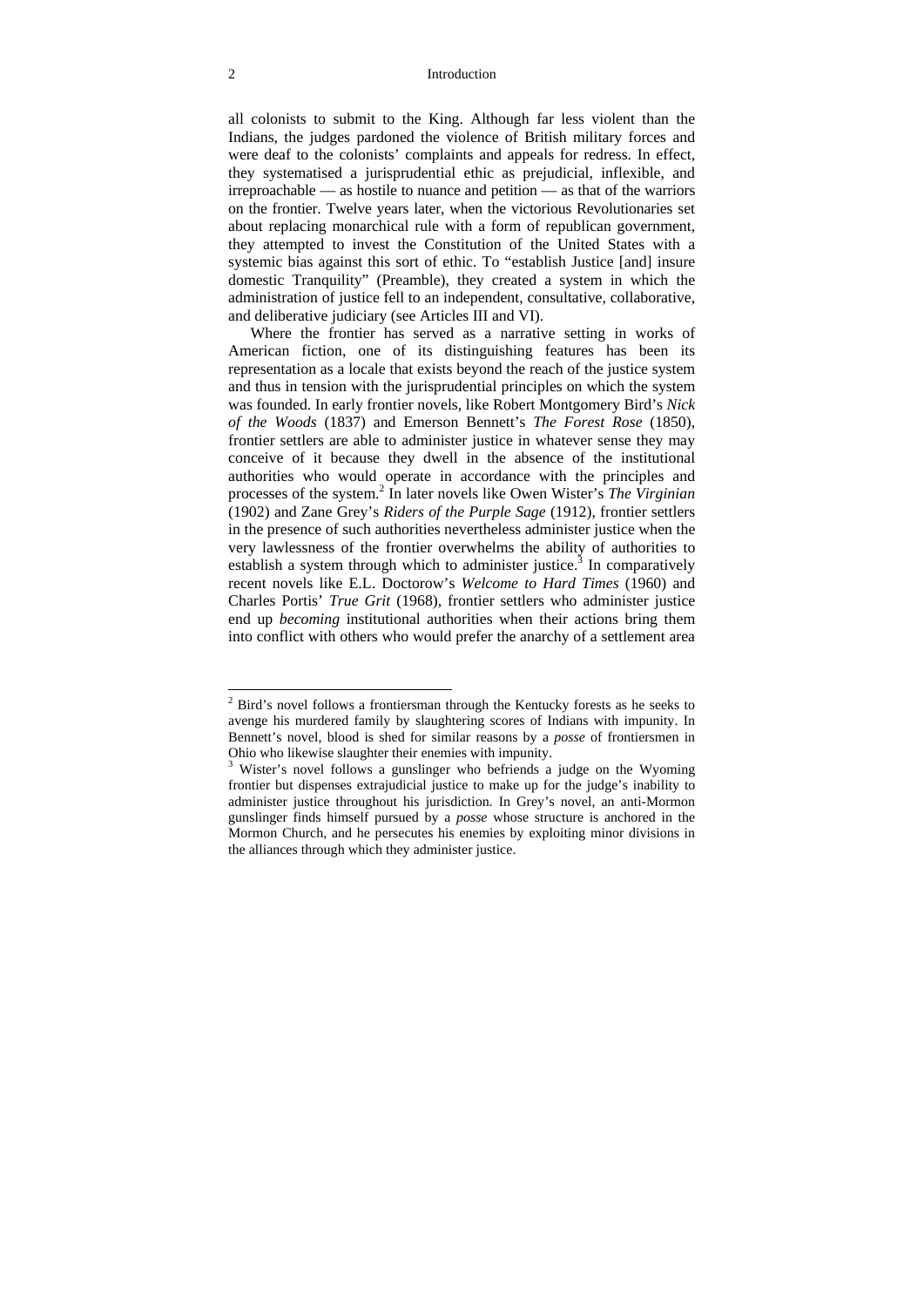#### 2 Introduction

all colonists to submit to the King. Although far less violent than the Indians, the judges pardoned the violence of British military forces and were deaf to the colonists' complaints and appeals for redress. In effect, they systematised a jurisprudential ethic as prejudicial, inflexible, and irreproachable — as hostile to nuance and petition — as that of the warriors on the frontier. Twelve years later, when the victorious Revolutionaries set about replacing monarchical rule with a form of republican government, they attempted to invest the Constitution of the United States with a systemic bias against this sort of ethic. To "establish Justice [and] insure domestic Tranquility" (Preamble), they created a system in which the administration of justice fell to an independent, consultative, collaborative, and deliberative judiciary (see Articles III and VI).

Where the frontier has served as a narrative setting in works of American fiction, one of its distinguishing features has been its representation as a locale that exists beyond the reach of the justice system and thus in tension with the jurisprudential principles on which the system was founded. In early frontier novels, like Robert Montgomery Bird's *Nick of the Woods* (1837) and Emerson Bennett's *The Forest Rose* (1850), frontier settlers are able to administer justice in whatever sense they may conceive of it because they dwell in the absence of the institutional authorities who would operate in accordance with the principles and processes of the system.<sup>2</sup> In later novels like Owen Wister's *The Virginian* (1902) and Zane Grey's *Riders of the Purple Sage* (1912), frontier settlers in the presence of such authorities nevertheless administer justice when the very lawlessness of the frontier overwhelms the ability of authorities to establish a system through which to administer justice.<sup>3</sup> In comparatively recent novels like E.L. Doctorow's *Welcome to Hard Times* (1960) and Charles Portis' *True Grit* (1968), frontier settlers who administer justice end up *becoming* institutional authorities when their actions bring them into conflict with others who would prefer the anarchy of a settlement area

 $2$  Bird's novel follows a frontiersman through the Kentucky forests as he seeks to avenge his murdered family by slaughtering scores of Indians with impunity. In Bennett's novel, blood is shed for similar reasons by a *posse* of frontiersmen in Ohio who likewise slaughter their enemies with impunity. 3

<sup>&</sup>lt;sup>3</sup> Wister's novel follows a gunslinger who befriends a judge on the Wyoming frontier but dispenses extrajudicial justice to make up for the judge's inability to administer justice throughout his jurisdiction. In Grey's novel, an anti-Mormon gunslinger finds himself pursued by a *posse* whose structure is anchored in the Mormon Church, and he persecutes his enemies by exploiting minor divisions in the alliances through which they administer justice.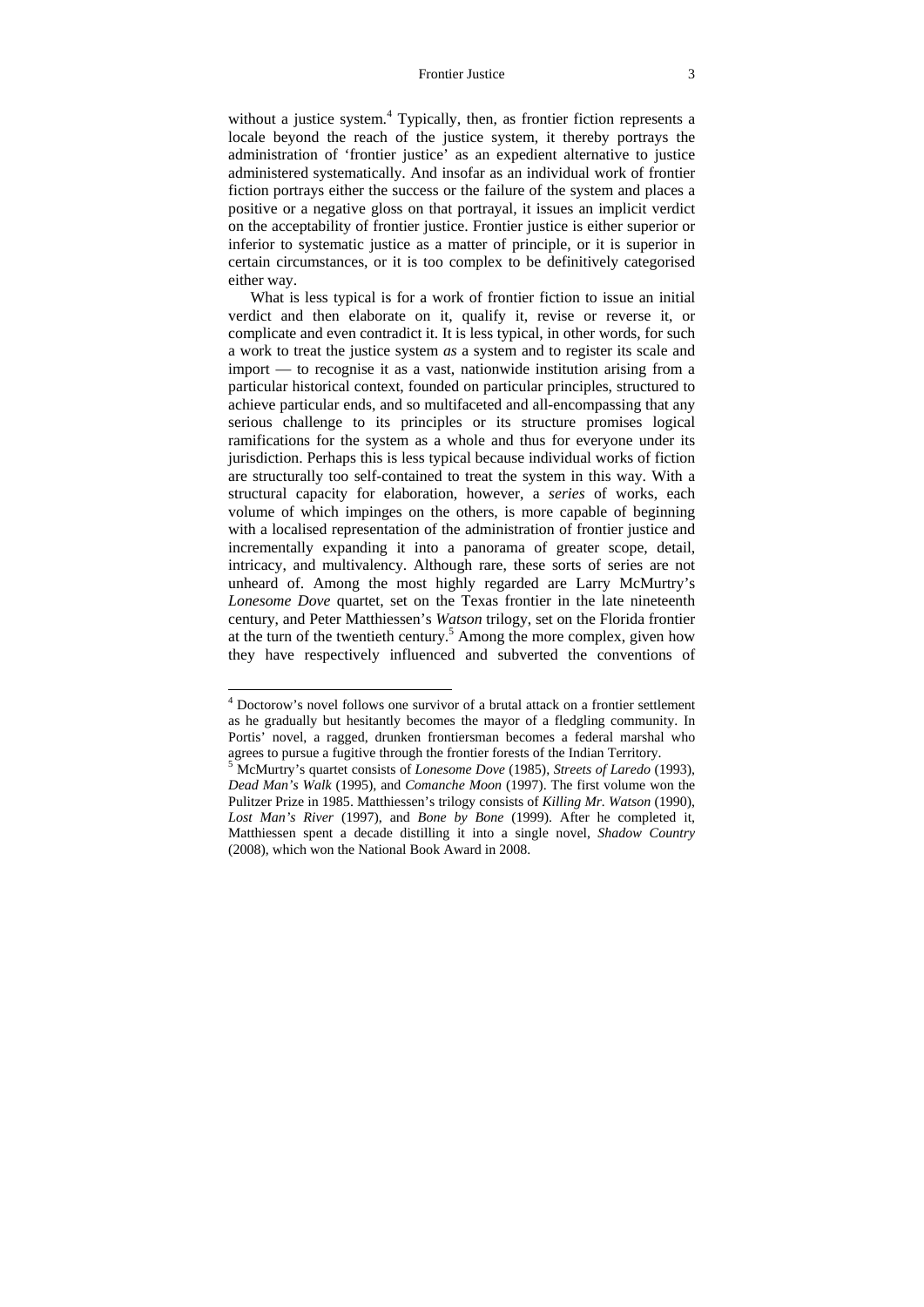#### Frontier Justice 3

without a justice system.<sup>4</sup> Typically, then, as frontier fiction represents a locale beyond the reach of the justice system, it thereby portrays the administration of 'frontier justice' as an expedient alternative to justice administered systematically. And insofar as an individual work of frontier fiction portrays either the success or the failure of the system and places a positive or a negative gloss on that portrayal, it issues an implicit verdict on the acceptability of frontier justice. Frontier justice is either superior or inferior to systematic justice as a matter of principle, or it is superior in certain circumstances, or it is too complex to be definitively categorised either way.

What is less typical is for a work of frontier fiction to issue an initial verdict and then elaborate on it, qualify it, revise or reverse it, or complicate and even contradict it. It is less typical, in other words, for such a work to treat the justice system *as* a system and to register its scale and import — to recognise it as a vast, nationwide institution arising from a particular historical context, founded on particular principles, structured to achieve particular ends, and so multifaceted and all-encompassing that any serious challenge to its principles or its structure promises logical ramifications for the system as a whole and thus for everyone under its jurisdiction. Perhaps this is less typical because individual works of fiction are structurally too self-contained to treat the system in this way. With a structural capacity for elaboration, however, a *series* of works, each volume of which impinges on the others, is more capable of beginning with a localised representation of the administration of frontier justice and incrementally expanding it into a panorama of greater scope, detail, intricacy, and multivalency. Although rare, these sorts of series are not unheard of. Among the most highly regarded are Larry McMurtry's *Lonesome Dove* quartet, set on the Texas frontier in the late nineteenth century, and Peter Matthiessen's *Watson* trilogy, set on the Florida frontier at the turn of the twentieth century.<sup>5</sup> Among the more complex, given how they have respectively influenced and subverted the conventions of

<sup>4</sup> Doctorow's novel follows one survivor of a brutal attack on a frontier settlement as he gradually but hesitantly becomes the mayor of a fledgling community. In Portis' novel, a ragged, drunken frontiersman becomes a federal marshal who agrees to pursue a fugitive through the frontier forests of the Indian Territory.

<sup>5</sup> McMurtry's quartet consists of *Lonesome Dove* (1985), *Streets of Laredo* (1993), *Dead Man's Walk* (1995), and *Comanche Moon* (1997). The first volume won the Pulitzer Prize in 1985. Matthiessen's trilogy consists of *Killing Mr. Watson* (1990), *Lost Man's River* (1997), and *Bone by Bone* (1999). After he completed it, Matthiessen spent a decade distilling it into a single novel, *Shadow Country* (2008), which won the National Book Award in 2008.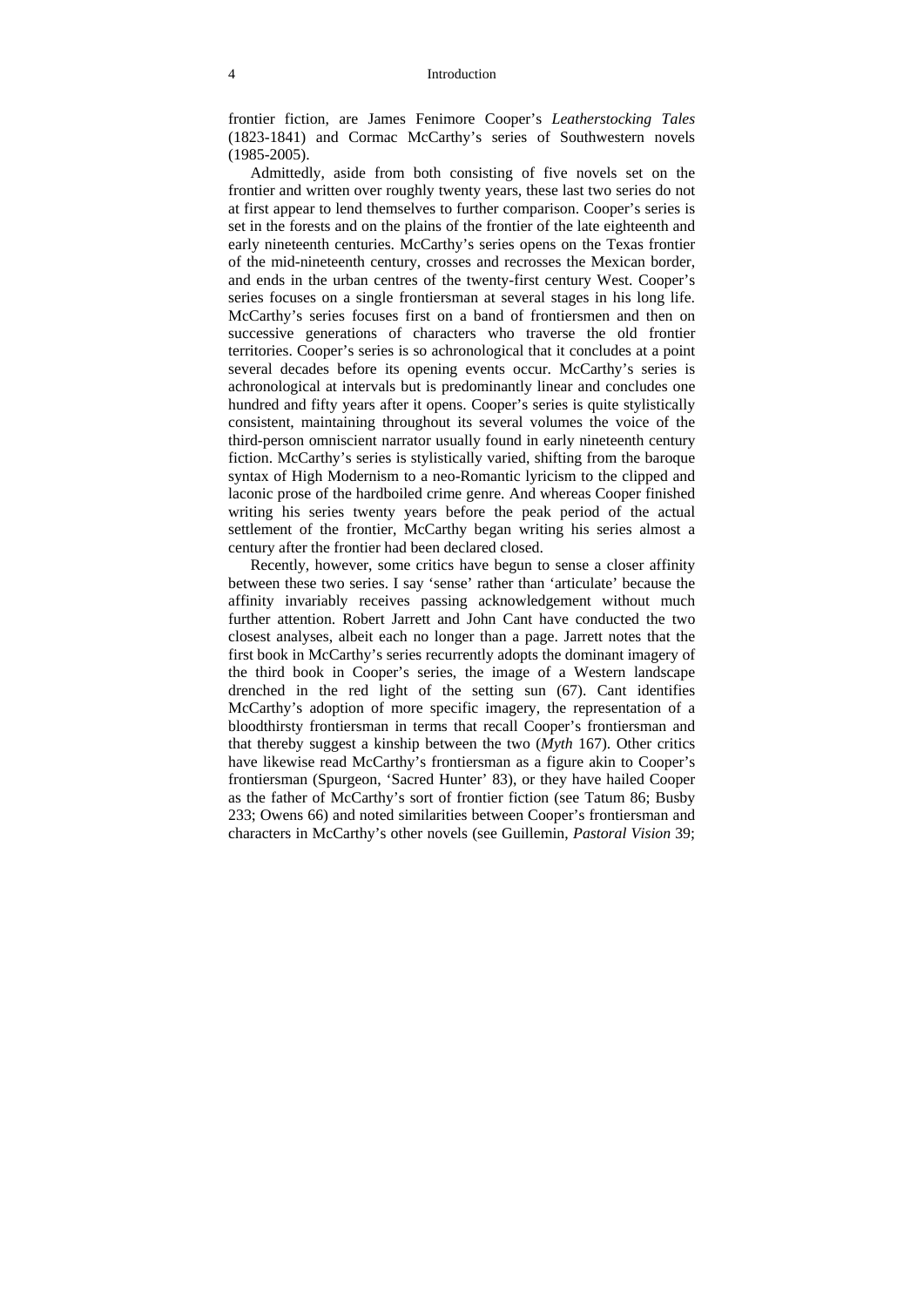frontier fiction, are James Fenimore Cooper's *Leatherstocking Tales* (1823-1841) and Cormac McCarthy's series of Southwestern novels (1985-2005).

Admittedly, aside from both consisting of five novels set on the frontier and written over roughly twenty years, these last two series do not at first appear to lend themselves to further comparison. Cooper's series is set in the forests and on the plains of the frontier of the late eighteenth and early nineteenth centuries. McCarthy's series opens on the Texas frontier of the mid-nineteenth century, crosses and recrosses the Mexican border, and ends in the urban centres of the twenty-first century West. Cooper's series focuses on a single frontiersman at several stages in his long life. McCarthy's series focuses first on a band of frontiersmen and then on successive generations of characters who traverse the old frontier territories. Cooper's series is so achronological that it concludes at a point several decades before its opening events occur. McCarthy's series is achronological at intervals but is predominantly linear and concludes one hundred and fifty years after it opens. Cooper's series is quite stylistically consistent, maintaining throughout its several volumes the voice of the third-person omniscient narrator usually found in early nineteenth century fiction. McCarthy's series is stylistically varied, shifting from the baroque syntax of High Modernism to a neo-Romantic lyricism to the clipped and laconic prose of the hardboiled crime genre. And whereas Cooper finished writing his series twenty years before the peak period of the actual settlement of the frontier, McCarthy began writing his series almost a century after the frontier had been declared closed.

Recently, however, some critics have begun to sense a closer affinity between these two series. I say 'sense' rather than 'articulate' because the affinity invariably receives passing acknowledgement without much further attention. Robert Jarrett and John Cant have conducted the two closest analyses, albeit each no longer than a page. Jarrett notes that the first book in McCarthy's series recurrently adopts the dominant imagery of the third book in Cooper's series, the image of a Western landscape drenched in the red light of the setting sun (67). Cant identifies McCarthy's adoption of more specific imagery, the representation of a bloodthirsty frontiersman in terms that recall Cooper's frontiersman and that thereby suggest a kinship between the two (*Myth* 167). Other critics have likewise read McCarthy's frontiersman as a figure akin to Cooper's frontiersman (Spurgeon, 'Sacred Hunter' 83), or they have hailed Cooper as the father of McCarthy's sort of frontier fiction (see Tatum 86; Busby 233; Owens 66) and noted similarities between Cooper's frontiersman and characters in McCarthy's other novels (see Guillemin, *Pastoral Vision* 39;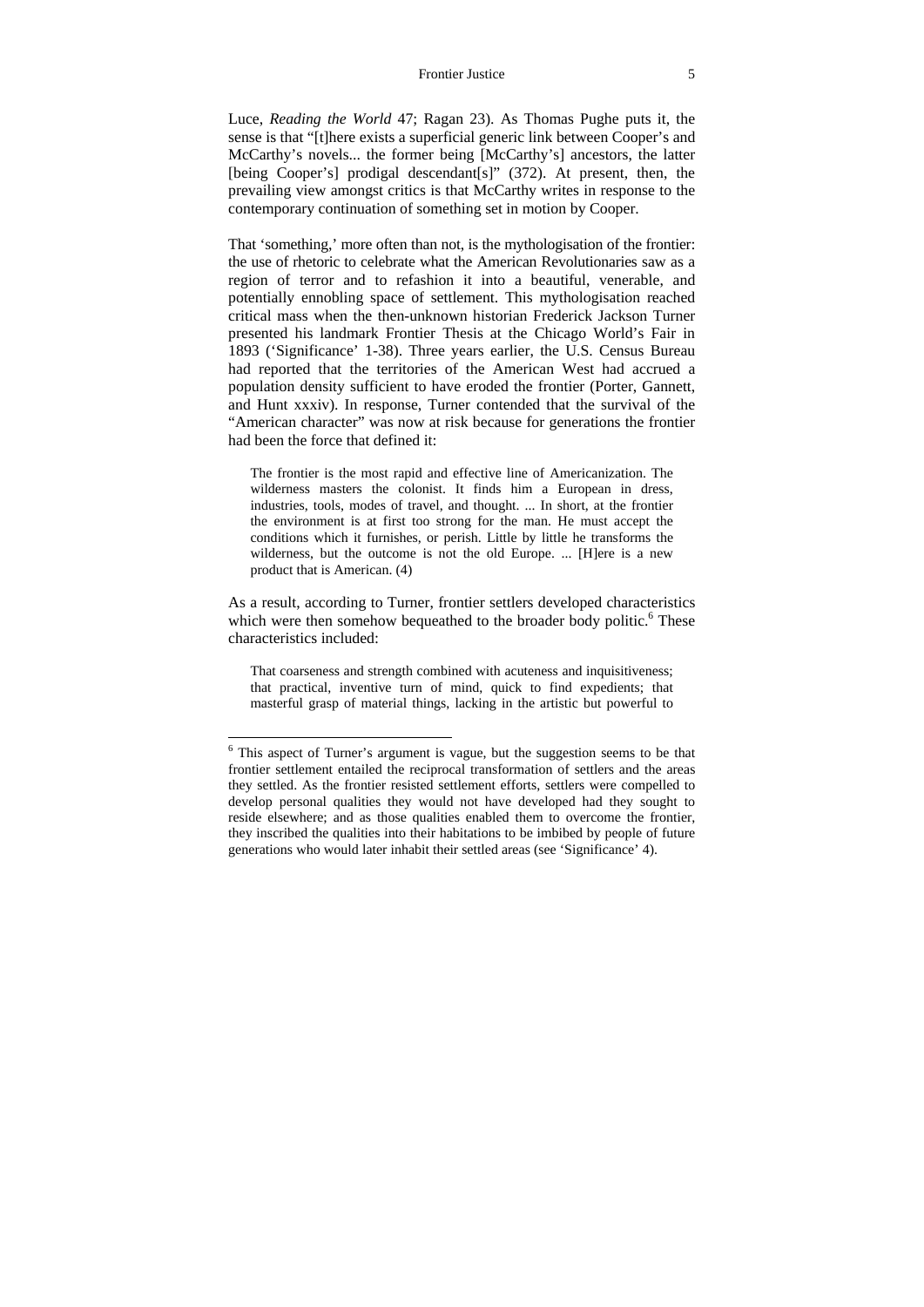#### Frontier Justice 5

Luce, *Reading the World* 47; Ragan 23). As Thomas Pughe puts it, the sense is that "[t]here exists a superficial generic link between Cooper's and McCarthy's novels... the former being [McCarthy's] ancestors, the latter [being Cooper's] prodigal descendant[s]" (372). At present, then, the prevailing view amongst critics is that McCarthy writes in response to the contemporary continuation of something set in motion by Cooper.

That 'something,' more often than not, is the mythologisation of the frontier: the use of rhetoric to celebrate what the American Revolutionaries saw as a region of terror and to refashion it into a beautiful, venerable, and potentially ennobling space of settlement. This mythologisation reached critical mass when the then-unknown historian Frederick Jackson Turner presented his landmark Frontier Thesis at the Chicago World's Fair in 1893 ('Significance' 1-38). Three years earlier, the U.S. Census Bureau had reported that the territories of the American West had accrued a population density sufficient to have eroded the frontier (Porter, Gannett, and Hunt xxxiv). In response, Turner contended that the survival of the "American character" was now at risk because for generations the frontier had been the force that defined it:

The frontier is the most rapid and effective line of Americanization. The wilderness masters the colonist. It finds him a European in dress, industries, tools, modes of travel, and thought. ... In short, at the frontier the environment is at first too strong for the man. He must accept the conditions which it furnishes, or perish. Little by little he transforms the wilderness, but the outcome is not the old Europe. ... [H]ere is a new product that is American. (4)

As a result, according to Turner, frontier settlers developed characteristics which were then somehow bequeathed to the broader body politic.<sup>6</sup> These characteristics included:

That coarseness and strength combined with acuteness and inquisitiveness; that practical, inventive turn of mind, quick to find expedients; that masterful grasp of material things, lacking in the artistic but powerful to

<sup>&</sup>lt;sup>6</sup> This aspect of Turner's argument is vague, but the suggestion seems to be that frontier settlement entailed the reciprocal transformation of settlers and the areas they settled. As the frontier resisted settlement efforts, settlers were compelled to develop personal qualities they would not have developed had they sought to reside elsewhere; and as those qualities enabled them to overcome the frontier, they inscribed the qualities into their habitations to be imbibed by people of future generations who would later inhabit their settled areas (see 'Significance' 4).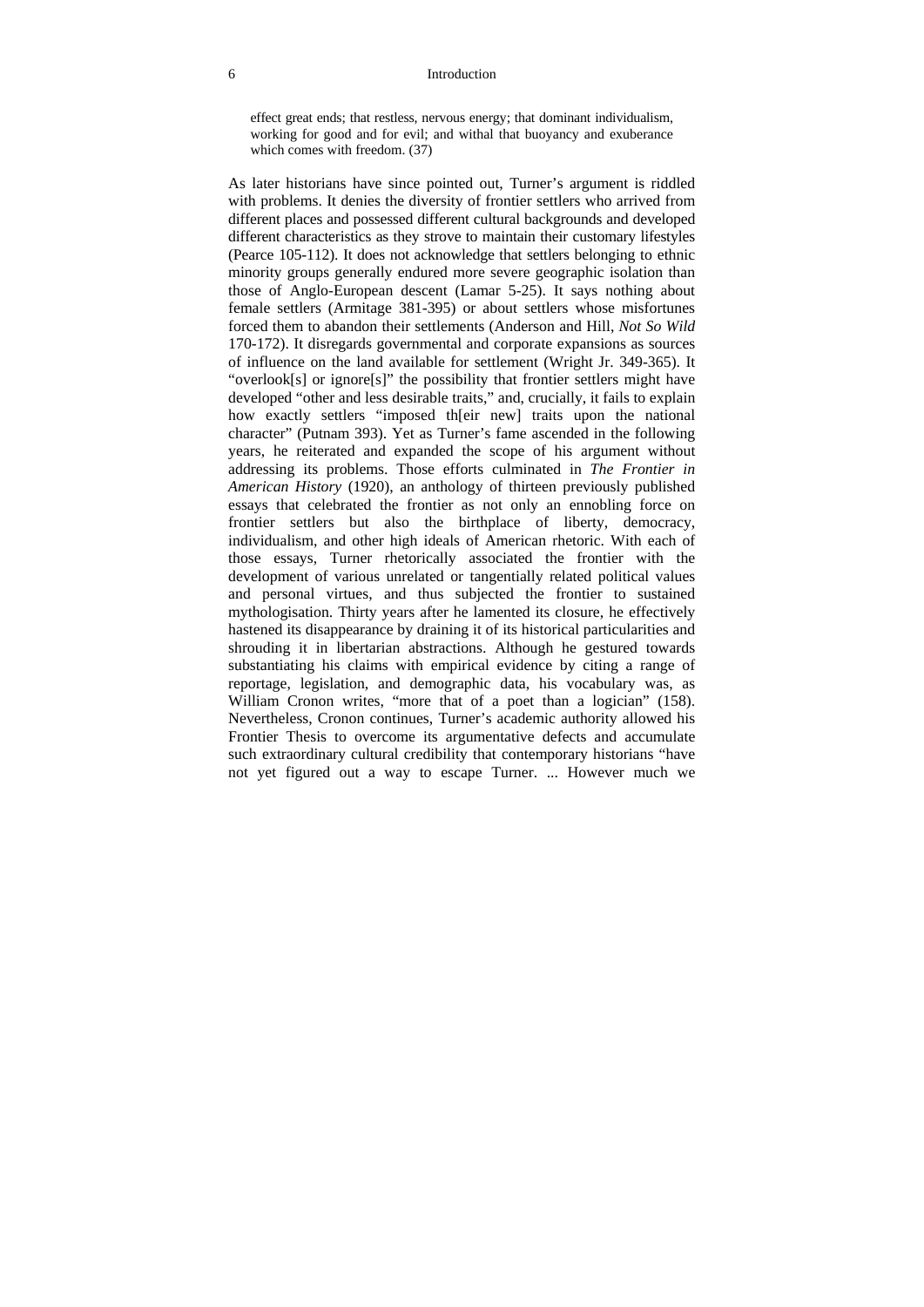effect great ends; that restless, nervous energy; that dominant individualism, working for good and for evil; and withal that buoyancy and exuberance which comes with freedom. (37)

As later historians have since pointed out, Turner's argument is riddled with problems. It denies the diversity of frontier settlers who arrived from different places and possessed different cultural backgrounds and developed different characteristics as they strove to maintain their customary lifestyles (Pearce 105-112). It does not acknowledge that settlers belonging to ethnic minority groups generally endured more severe geographic isolation than those of Anglo-European descent (Lamar 5-25). It says nothing about female settlers (Armitage 381-395) or about settlers whose misfortunes forced them to abandon their settlements (Anderson and Hill, *Not So Wild* 170-172). It disregards governmental and corporate expansions as sources of influence on the land available for settlement (Wright Jr. 349-365). It "overlook[s] or ignore[s]" the possibility that frontier settlers might have developed "other and less desirable traits," and, crucially, it fails to explain how exactly settlers "imposed th[eir new] traits upon the national character" (Putnam 393). Yet as Turner's fame ascended in the following years, he reiterated and expanded the scope of his argument without addressing its problems. Those efforts culminated in *The Frontier in American History* (1920), an anthology of thirteen previously published essays that celebrated the frontier as not only an ennobling force on frontier settlers but also the birthplace of liberty, democracy, individualism, and other high ideals of American rhetoric. With each of those essays, Turner rhetorically associated the frontier with the development of various unrelated or tangentially related political values and personal virtues, and thus subjected the frontier to sustained mythologisation. Thirty years after he lamented its closure, he effectively hastened its disappearance by draining it of its historical particularities and shrouding it in libertarian abstractions. Although he gestured towards substantiating his claims with empirical evidence by citing a range of reportage, legislation, and demographic data, his vocabulary was, as William Cronon writes, "more that of a poet than a logician" (158). Nevertheless, Cronon continues, Turner's academic authority allowed his Frontier Thesis to overcome its argumentative defects and accumulate such extraordinary cultural credibility that contemporary historians "have not yet figured out a way to escape Turner. ... However much we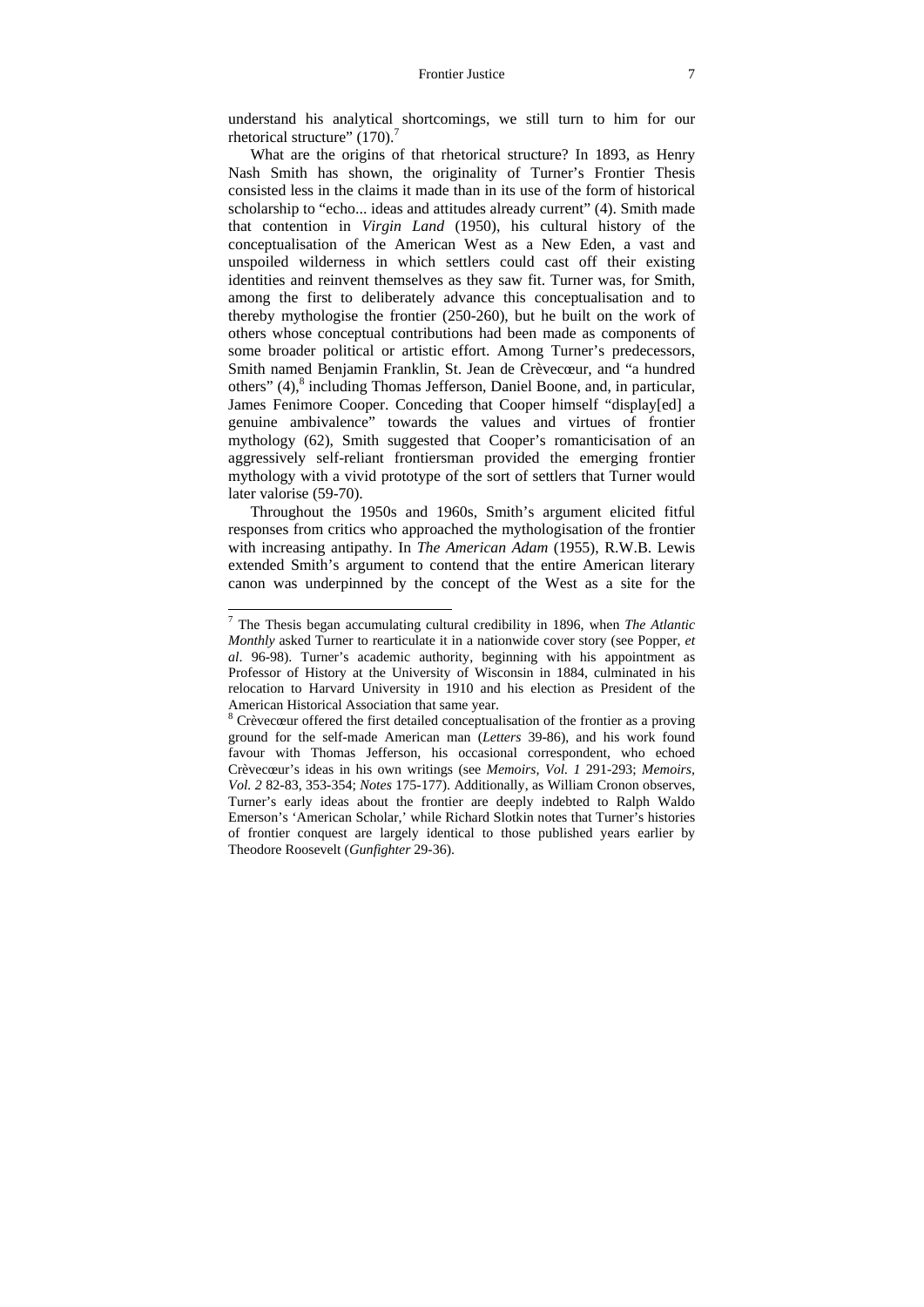understand his analytical shortcomings, we still turn to him for our rhetorical structure" (170).<sup>7</sup>

What are the origins of that rhetorical structure? In 1893, as Henry Nash Smith has shown, the originality of Turner's Frontier Thesis consisted less in the claims it made than in its use of the form of historical scholarship to "echo... ideas and attitudes already current" (4). Smith made that contention in *Virgin Land* (1950), his cultural history of the conceptualisation of the American West as a New Eden, a vast and unspoiled wilderness in which settlers could cast off their existing identities and reinvent themselves as they saw fit. Turner was, for Smith, among the first to deliberately advance this conceptualisation and to thereby mythologise the frontier (250-260), but he built on the work of others whose conceptual contributions had been made as components of some broader political or artistic effort. Among Turner's predecessors, Smith named Benjamin Franklin, St. Jean de Crèvecœur, and "a hundred others" (4),<sup>8</sup> including Thomas Jefferson, Daniel Boone, and, in particular, James Fenimore Cooper. Conceding that Cooper himself "display[ed] a genuine ambivalence" towards the values and virtues of frontier mythology (62), Smith suggested that Cooper's romanticisation of an aggressively self-reliant frontiersman provided the emerging frontier mythology with a vivid prototype of the sort of settlers that Turner would later valorise (59-70).

Throughout the 1950s and 1960s, Smith's argument elicited fitful responses from critics who approached the mythologisation of the frontier with increasing antipathy. In *The American Adam* (1955), R.W.B. Lewis extended Smith's argument to contend that the entire American literary canon was underpinned by the concept of the West as a site for the

 7 The Thesis began accumulating cultural credibility in 1896, when *The Atlantic Monthly* asked Turner to rearticulate it in a nationwide cover story (see Popper, *et al*. 96-98). Turner's academic authority, beginning with his appointment as Professor of History at the University of Wisconsin in 1884, culminated in his relocation to Harvard University in 1910 and his election as President of the American Historical Association that same year.

 $8$  Crèvecœur offered the first detailed conceptualisation of the frontier as a proving ground for the self-made American man (*Letters* 39-86), and his work found favour with Thomas Jefferson, his occasional correspondent, who echoed Crèvecœur's ideas in his own writings (see *Memoirs, Vol. 1* 291-293; *Memoirs, Vol. 2* 82-83, 353-354; *Notes* 175-177). Additionally, as William Cronon observes, Turner's early ideas about the frontier are deeply indebted to Ralph Waldo Emerson's 'American Scholar,' while Richard Slotkin notes that Turner's histories of frontier conquest are largely identical to those published years earlier by Theodore Roosevelt (*Gunfighter* 29-36).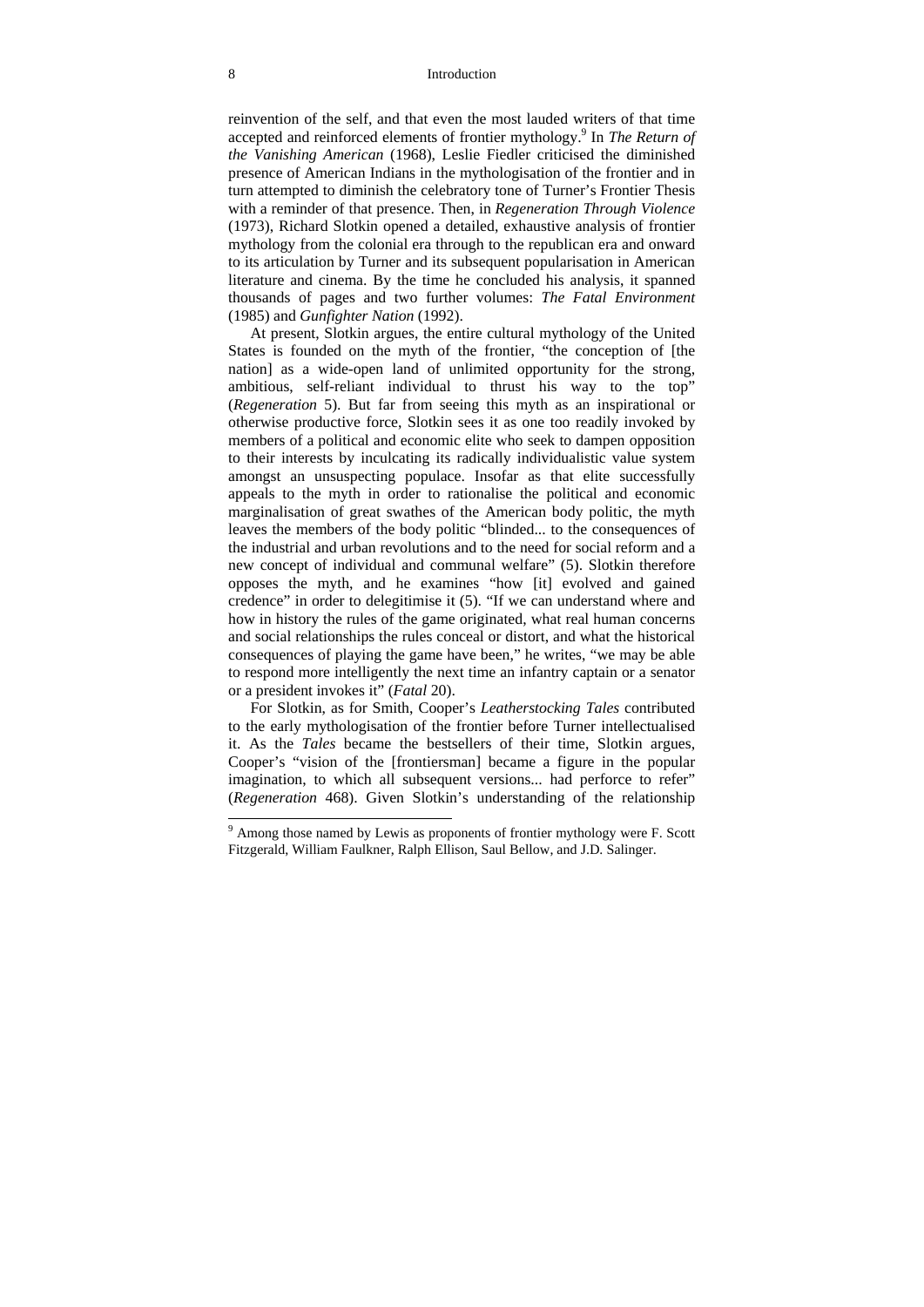#### 8 Introduction

reinvention of the self, and that even the most lauded writers of that time accepted and reinforced elements of frontier mythology.<sup>9</sup> In *The Return of the Vanishing American* (1968), Leslie Fiedler criticised the diminished presence of American Indians in the mythologisation of the frontier and in turn attempted to diminish the celebratory tone of Turner's Frontier Thesis with a reminder of that presence. Then, in *Regeneration Through Violence* (1973), Richard Slotkin opened a detailed, exhaustive analysis of frontier mythology from the colonial era through to the republican era and onward to its articulation by Turner and its subsequent popularisation in American literature and cinema. By the time he concluded his analysis, it spanned thousands of pages and two further volumes: *The Fatal Environment* (1985) and *Gunfighter Nation* (1992).

At present, Slotkin argues, the entire cultural mythology of the United States is founded on the myth of the frontier, "the conception of [the nation] as a wide-open land of unlimited opportunity for the strong, ambitious, self-reliant individual to thrust his way to the top" (*Regeneration* 5). But far from seeing this myth as an inspirational or otherwise productive force, Slotkin sees it as one too readily invoked by members of a political and economic elite who seek to dampen opposition to their interests by inculcating its radically individualistic value system amongst an unsuspecting populace. Insofar as that elite successfully appeals to the myth in order to rationalise the political and economic marginalisation of great swathes of the American body politic, the myth leaves the members of the body politic "blinded... to the consequences of the industrial and urban revolutions and to the need for social reform and a new concept of individual and communal welfare" (5). Slotkin therefore opposes the myth, and he examines "how [it] evolved and gained credence" in order to delegitimise it (5). "If we can understand where and how in history the rules of the game originated, what real human concerns and social relationships the rules conceal or distort, and what the historical consequences of playing the game have been," he writes, "we may be able to respond more intelligently the next time an infantry captain or a senator or a president invokes it" (*Fatal* 20).

For Slotkin, as for Smith, Cooper's *Leatherstocking Tales* contributed to the early mythologisation of the frontier before Turner intellectualised it. As the *Tales* became the bestsellers of their time, Slotkin argues, Cooper's "vision of the [frontiersman] became a figure in the popular imagination, to which all subsequent versions... had perforce to refer" (*Regeneration* 468). Given Slotkin's understanding of the relationship

 $9$  Among those named by Lewis as proponents of frontier mythology were F. Scott Fitzgerald, William Faulkner, Ralph Ellison, Saul Bellow, and J.D. Salinger.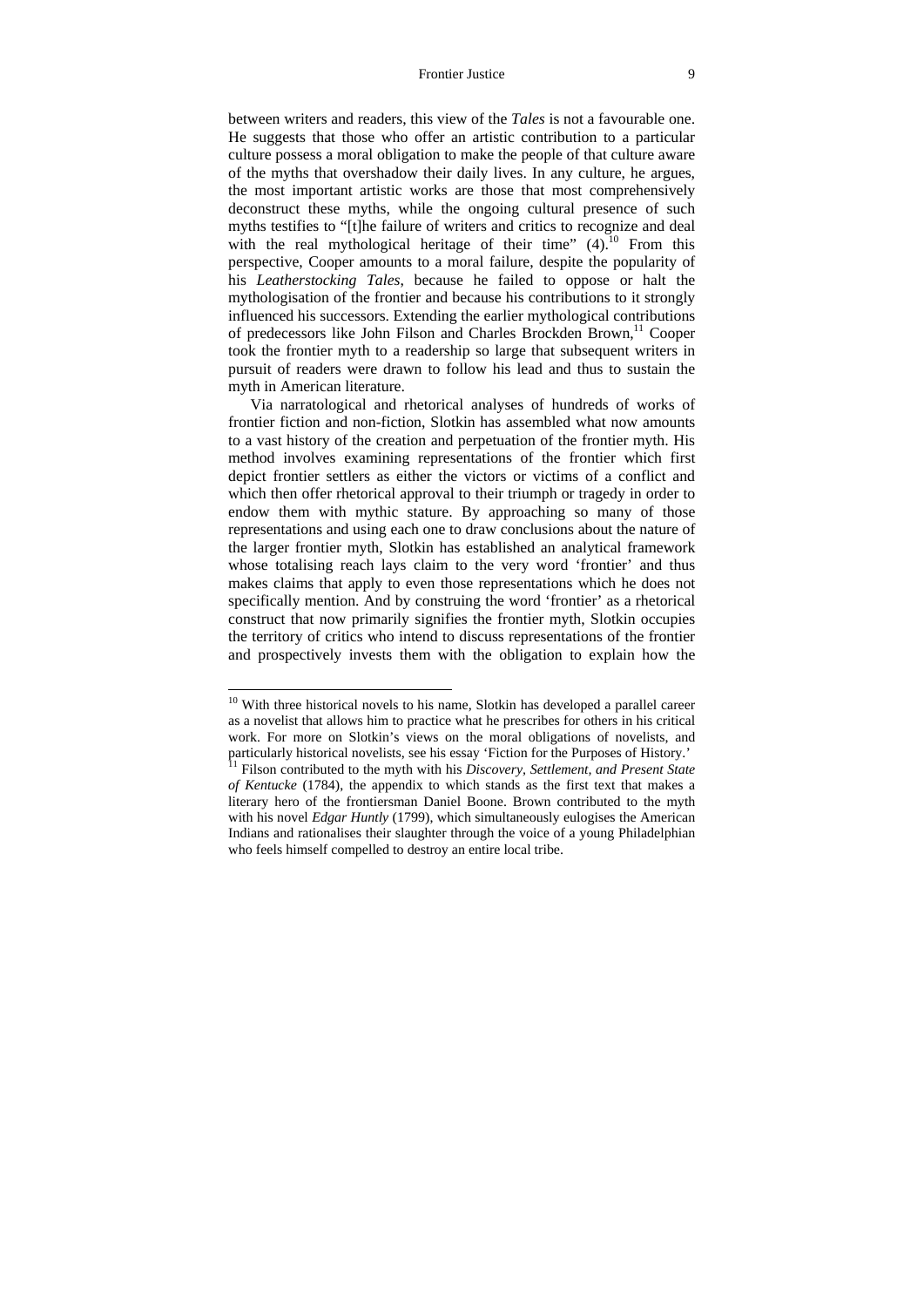#### Frontier Justice 9

between writers and readers, this view of the *Tales* is not a favourable one. He suggests that those who offer an artistic contribution to a particular culture possess a moral obligation to make the people of that culture aware of the myths that overshadow their daily lives. In any culture, he argues, the most important artistic works are those that most comprehensively deconstruct these myths, while the ongoing cultural presence of such myths testifies to "[t]he failure of writers and critics to recognize and deal with the real mythological heritage of their time"  $(4)$ .<sup>10</sup> From this perspective, Cooper amounts to a moral failure, despite the popularity of his *Leatherstocking Tales*, because he failed to oppose or halt the mythologisation of the frontier and because his contributions to it strongly influenced his successors. Extending the earlier mythological contributions of predecessors like John Filson and Charles Brockden Brown.<sup>11</sup> Cooper took the frontier myth to a readership so large that subsequent writers in pursuit of readers were drawn to follow his lead and thus to sustain the myth in American literature.

Via narratological and rhetorical analyses of hundreds of works of frontier fiction and non-fiction, Slotkin has assembled what now amounts to a vast history of the creation and perpetuation of the frontier myth. His method involves examining representations of the frontier which first depict frontier settlers as either the victors or victims of a conflict and which then offer rhetorical approval to their triumph or tragedy in order to endow them with mythic stature. By approaching so many of those representations and using each one to draw conclusions about the nature of the larger frontier myth, Slotkin has established an analytical framework whose totalising reach lays claim to the very word 'frontier' and thus makes claims that apply to even those representations which he does not specifically mention. And by construing the word 'frontier' as a rhetorical construct that now primarily signifies the frontier myth, Slotkin occupies the territory of critics who intend to discuss representations of the frontier and prospectively invests them with the obligation to explain how the

 $10$  With three historical novels to his name, Slotkin has developed a parallel career as a novelist that allows him to practice what he prescribes for others in his critical work. For more on Slotkin's views on the moral obligations of novelists, and particularly historical novelists, see his essay 'Fiction for the Purposes of History.'

<sup>&</sup>lt;sup>11</sup> Filson contributed to the myth with his *Discovery, Settlement, and Present State of Kentucke* (1784), the appendix to which stands as the first text that makes a literary hero of the frontiersman Daniel Boone. Brown contributed to the myth with his novel *Edgar Huntly* (1799), which simultaneously eulogises the American Indians and rationalises their slaughter through the voice of a young Philadelphian who feels himself compelled to destroy an entire local tribe.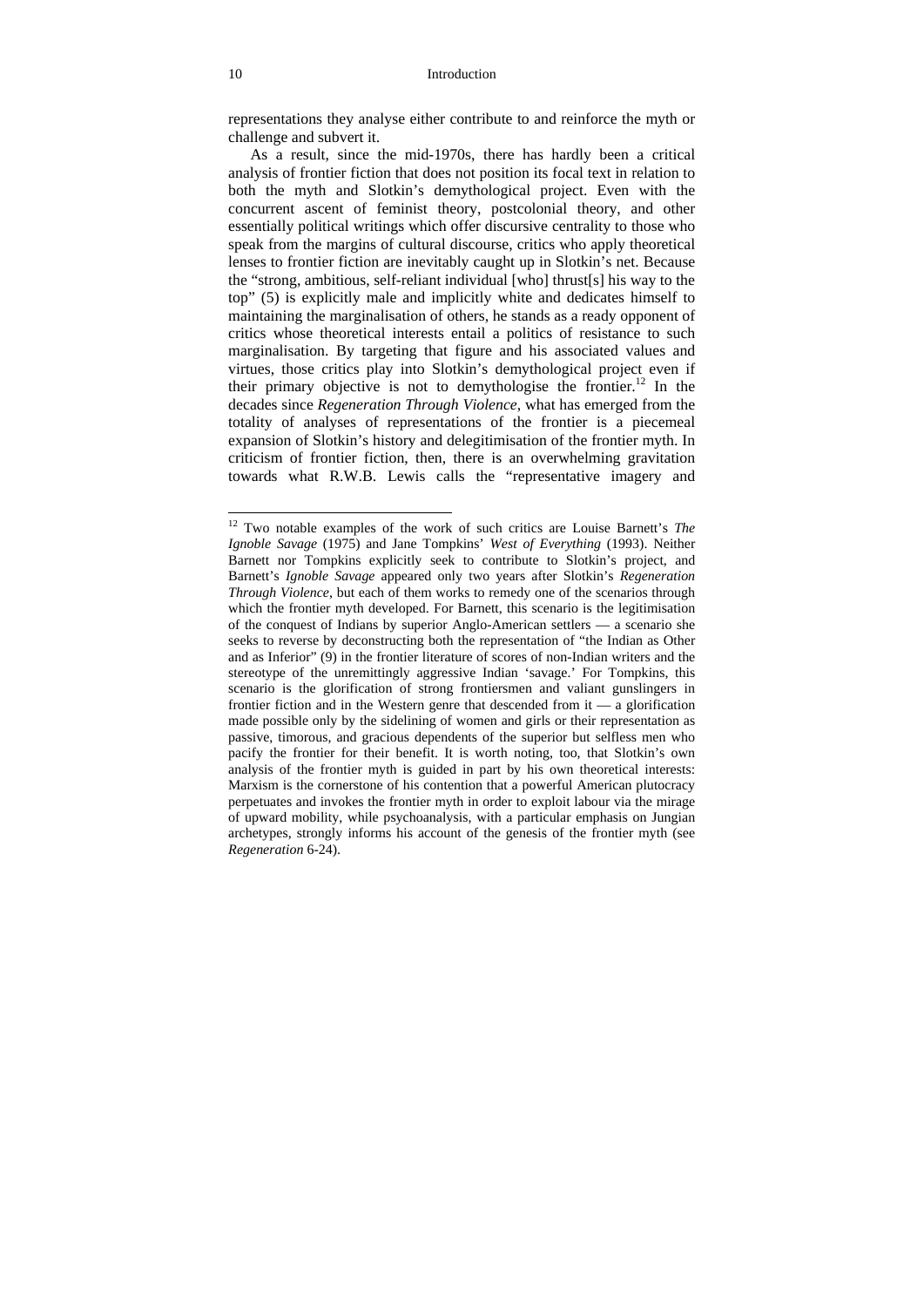representations they analyse either contribute to and reinforce the myth or challenge and subvert it.

As a result, since the mid-1970s, there has hardly been a critical analysis of frontier fiction that does not position its focal text in relation to both the myth and Slotkin's demythological project. Even with the concurrent ascent of feminist theory, postcolonial theory, and other essentially political writings which offer discursive centrality to those who speak from the margins of cultural discourse, critics who apply theoretical lenses to frontier fiction are inevitably caught up in Slotkin's net. Because the "strong, ambitious, self-reliant individual [who] thrust[s] his way to the top" (5) is explicitly male and implicitly white and dedicates himself to maintaining the marginalisation of others, he stands as a ready opponent of critics whose theoretical interests entail a politics of resistance to such marginalisation. By targeting that figure and his associated values and virtues, those critics play into Slotkin's demythological project even if their primary objective is not to demythologise the frontier.<sup>12</sup> In the decades since *Regeneration Through Violence*, what has emerged from the totality of analyses of representations of the frontier is a piecemeal expansion of Slotkin's history and delegitimisation of the frontier myth. In criticism of frontier fiction, then, there is an overwhelming gravitation towards what R.W.B. Lewis calls the "representative imagery and

<sup>12</sup> Two notable examples of the work of such critics are Louise Barnett's *The Ignoble Savage* (1975) and Jane Tompkins' *West of Everything* (1993). Neither Barnett nor Tompkins explicitly seek to contribute to Slotkin's project, and Barnett's *Ignoble Savage* appeared only two years after Slotkin's *Regeneration Through Violence*, but each of them works to remedy one of the scenarios through which the frontier myth developed. For Barnett, this scenario is the legitimisation of the conquest of Indians by superior Anglo-American settlers — a scenario she seeks to reverse by deconstructing both the representation of "the Indian as Other and as Inferior" (9) in the frontier literature of scores of non-Indian writers and the stereotype of the unremittingly aggressive Indian 'savage.' For Tompkins, this scenario is the glorification of strong frontiersmen and valiant gunslingers in frontier fiction and in the Western genre that descended from it — a glorification made possible only by the sidelining of women and girls or their representation as passive, timorous, and gracious dependents of the superior but selfless men who pacify the frontier for their benefit. It is worth noting, too, that Slotkin's own analysis of the frontier myth is guided in part by his own theoretical interests: Marxism is the cornerstone of his contention that a powerful American plutocracy perpetuates and invokes the frontier myth in order to exploit labour via the mirage of upward mobility, while psychoanalysis, with a particular emphasis on Jungian archetypes, strongly informs his account of the genesis of the frontier myth (see *Regeneration* 6-24).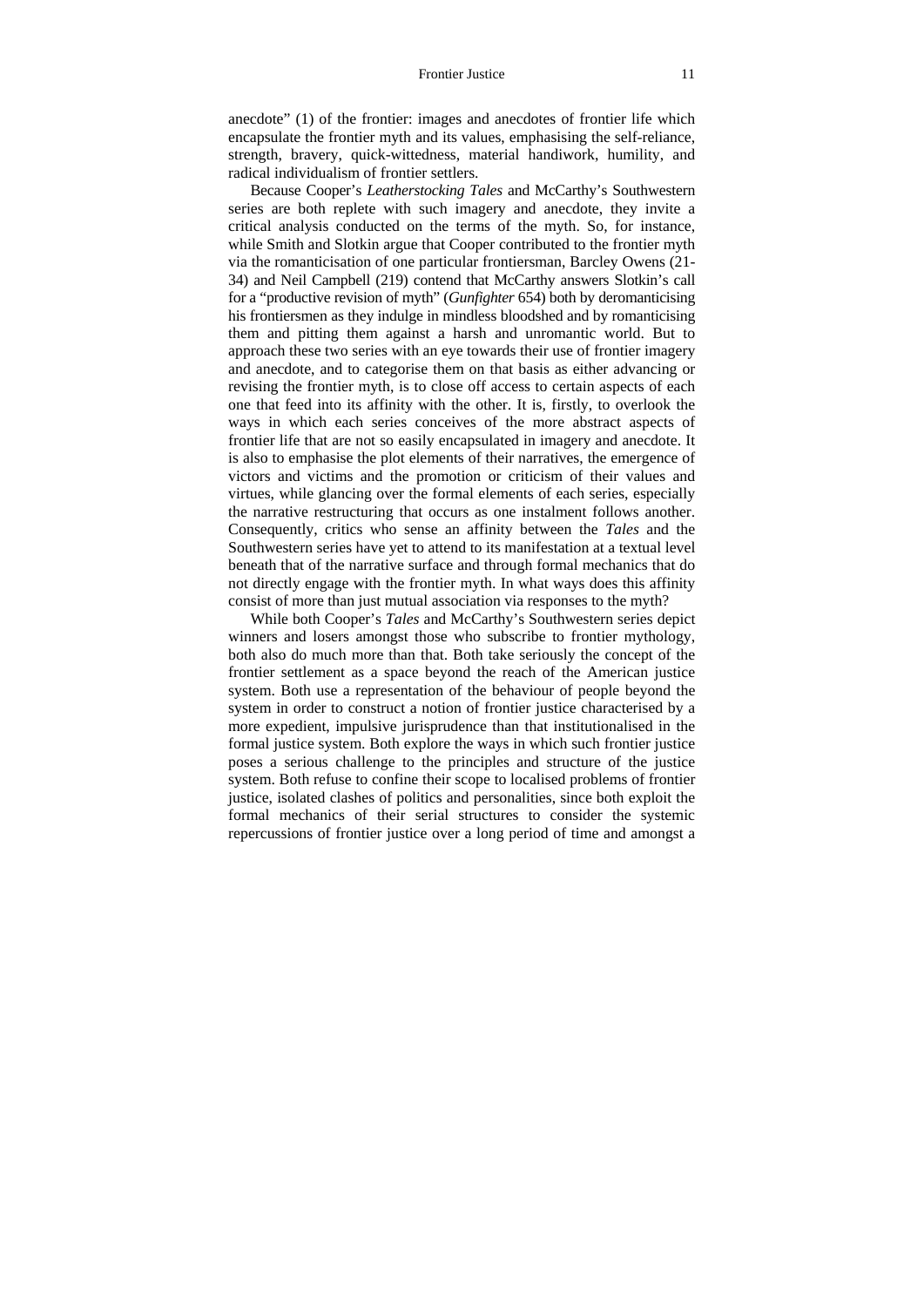anecdote" (1) of the frontier: images and anecdotes of frontier life which encapsulate the frontier myth and its values, emphasising the self-reliance, strength, bravery, quick-wittedness, material handiwork, humility, and radical individualism of frontier settlers.

Because Cooper's *Leatherstocking Tales* and McCarthy's Southwestern series are both replete with such imagery and anecdote, they invite a critical analysis conducted on the terms of the myth. So, for instance, while Smith and Slotkin argue that Cooper contributed to the frontier myth via the romanticisation of one particular frontiersman, Barcley Owens (21- 34) and Neil Campbell (219) contend that McCarthy answers Slotkin's call for a "productive revision of myth" (*Gunfighter* 654) both by deromanticising his frontiersmen as they indulge in mindless bloodshed and by romanticising them and pitting them against a harsh and unromantic world. But to approach these two series with an eye towards their use of frontier imagery and anecdote, and to categorise them on that basis as either advancing or revising the frontier myth, is to close off access to certain aspects of each one that feed into its affinity with the other. It is, firstly, to overlook the ways in which each series conceives of the more abstract aspects of frontier life that are not so easily encapsulated in imagery and anecdote. It is also to emphasise the plot elements of their narratives, the emergence of victors and victims and the promotion or criticism of their values and virtues, while glancing over the formal elements of each series, especially the narrative restructuring that occurs as one instalment follows another. Consequently, critics who sense an affinity between the *Tales* and the Southwestern series have yet to attend to its manifestation at a textual level beneath that of the narrative surface and through formal mechanics that do not directly engage with the frontier myth. In what ways does this affinity consist of more than just mutual association via responses to the myth?

While both Cooper's *Tales* and McCarthy's Southwestern series depict winners and losers amongst those who subscribe to frontier mythology, both also do much more than that. Both take seriously the concept of the frontier settlement as a space beyond the reach of the American justice system. Both use a representation of the behaviour of people beyond the system in order to construct a notion of frontier justice characterised by a more expedient, impulsive jurisprudence than that institutionalised in the formal justice system. Both explore the ways in which such frontier justice poses a serious challenge to the principles and structure of the justice system. Both refuse to confine their scope to localised problems of frontier justice, isolated clashes of politics and personalities, since both exploit the formal mechanics of their serial structures to consider the systemic repercussions of frontier justice over a long period of time and amongst a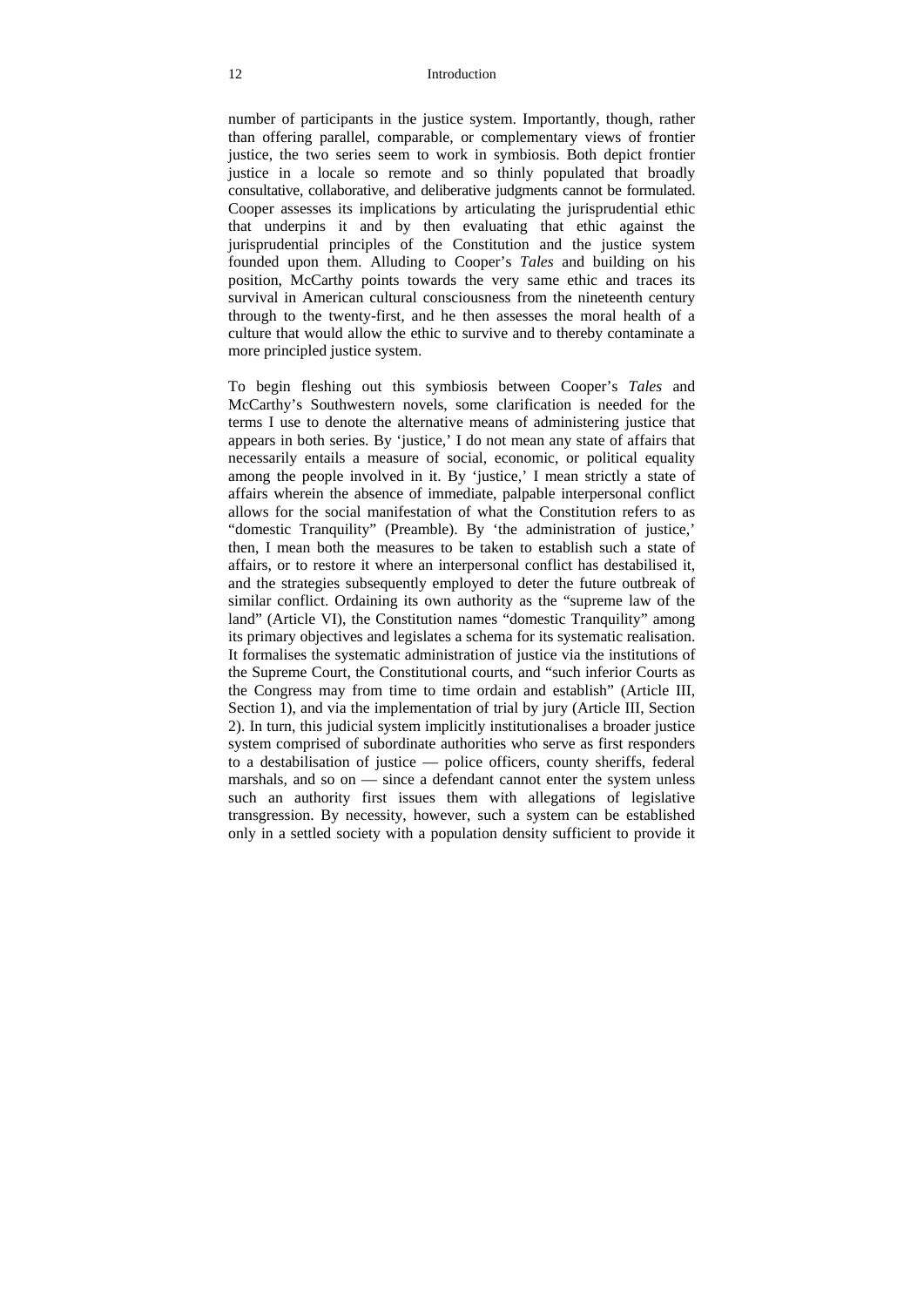#### 12 Introduction

number of participants in the justice system. Importantly, though, rather than offering parallel, comparable, or complementary views of frontier justice, the two series seem to work in symbiosis. Both depict frontier justice in a locale so remote and so thinly populated that broadly consultative, collaborative, and deliberative judgments cannot be formulated. Cooper assesses its implications by articulating the jurisprudential ethic that underpins it and by then evaluating that ethic against the jurisprudential principles of the Constitution and the justice system founded upon them. Alluding to Cooper's *Tales* and building on his position, McCarthy points towards the very same ethic and traces its survival in American cultural consciousness from the nineteenth century through to the twenty-first, and he then assesses the moral health of a culture that would allow the ethic to survive and to thereby contaminate a more principled justice system.

To begin fleshing out this symbiosis between Cooper's *Tales* and McCarthy's Southwestern novels, some clarification is needed for the terms I use to denote the alternative means of administering justice that appears in both series. By 'justice,' I do not mean any state of affairs that necessarily entails a measure of social, economic, or political equality among the people involved in it. By 'justice,' I mean strictly a state of affairs wherein the absence of immediate, palpable interpersonal conflict allows for the social manifestation of what the Constitution refers to as "domestic Tranquility" (Preamble). By 'the administration of justice,' then, I mean both the measures to be taken to establish such a state of affairs, or to restore it where an interpersonal conflict has destabilised it, and the strategies subsequently employed to deter the future outbreak of similar conflict. Ordaining its own authority as the "supreme law of the land" (Article VI), the Constitution names "domestic Tranquility" among its primary objectives and legislates a schema for its systematic realisation. It formalises the systematic administration of justice via the institutions of the Supreme Court, the Constitutional courts, and "such inferior Courts as the Congress may from time to time ordain and establish" (Article III, Section 1), and via the implementation of trial by jury (Article III, Section 2). In turn, this judicial system implicitly institutionalises a broader justice system comprised of subordinate authorities who serve as first responders to a destabilisation of justice — police officers, county sheriffs, federal marshals, and so on — since a defendant cannot enter the system unless such an authority first issues them with allegations of legislative transgression. By necessity, however, such a system can be established only in a settled society with a population density sufficient to provide it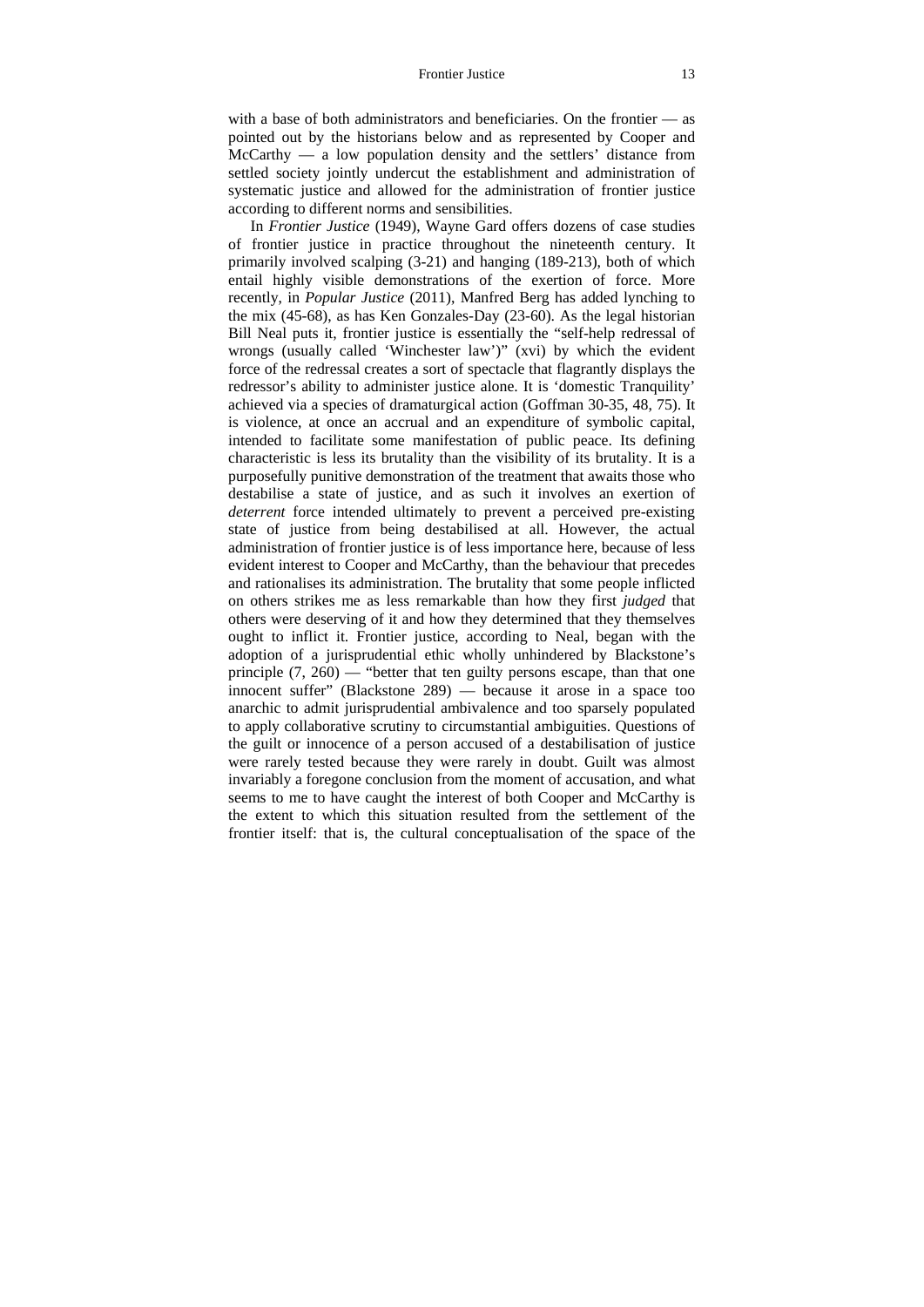with a base of both administrators and beneficiaries. On the frontier — as pointed out by the historians below and as represented by Cooper and McCarthy — a low population density and the settlers' distance from settled society jointly undercut the establishment and administration of systematic justice and allowed for the administration of frontier justice according to different norms and sensibilities.

In *Frontier Justice* (1949), Wayne Gard offers dozens of case studies of frontier justice in practice throughout the nineteenth century. It primarily involved scalping (3-21) and hanging (189-213), both of which entail highly visible demonstrations of the exertion of force. More recently, in *Popular Justice* (2011), Manfred Berg has added lynching to the mix (45-68), as has Ken Gonzales-Day (23-60). As the legal historian Bill Neal puts it, frontier justice is essentially the "self-help redressal of wrongs (usually called 'Winchester law')" (xvi) by which the evident force of the redressal creates a sort of spectacle that flagrantly displays the redressor's ability to administer justice alone. It is 'domestic Tranquility' achieved via a species of dramaturgical action (Goffman 30-35, 48, 75). It is violence, at once an accrual and an expenditure of symbolic capital, intended to facilitate some manifestation of public peace. Its defining characteristic is less its brutality than the visibility of its brutality. It is a purposefully punitive demonstration of the treatment that awaits those who destabilise a state of justice, and as such it involves an exertion of *deterrent* force intended ultimately to prevent a perceived pre-existing state of justice from being destabilised at all. However, the actual administration of frontier justice is of less importance here, because of less evident interest to Cooper and McCarthy, than the behaviour that precedes and rationalises its administration. The brutality that some people inflicted on others strikes me as less remarkable than how they first *judged* that others were deserving of it and how they determined that they themselves ought to inflict it. Frontier justice, according to Neal, began with the adoption of a jurisprudential ethic wholly unhindered by Blackstone's principle  $(7, 260)$  — "better that ten guilty persons escape, than that one innocent suffer" (Blackstone 289) — because it arose in a space too anarchic to admit jurisprudential ambivalence and too sparsely populated to apply collaborative scrutiny to circumstantial ambiguities. Questions of the guilt or innocence of a person accused of a destabilisation of justice were rarely tested because they were rarely in doubt. Guilt was almost invariably a foregone conclusion from the moment of accusation, and what seems to me to have caught the interest of both Cooper and McCarthy is the extent to which this situation resulted from the settlement of the frontier itself: that is, the cultural conceptualisation of the space of the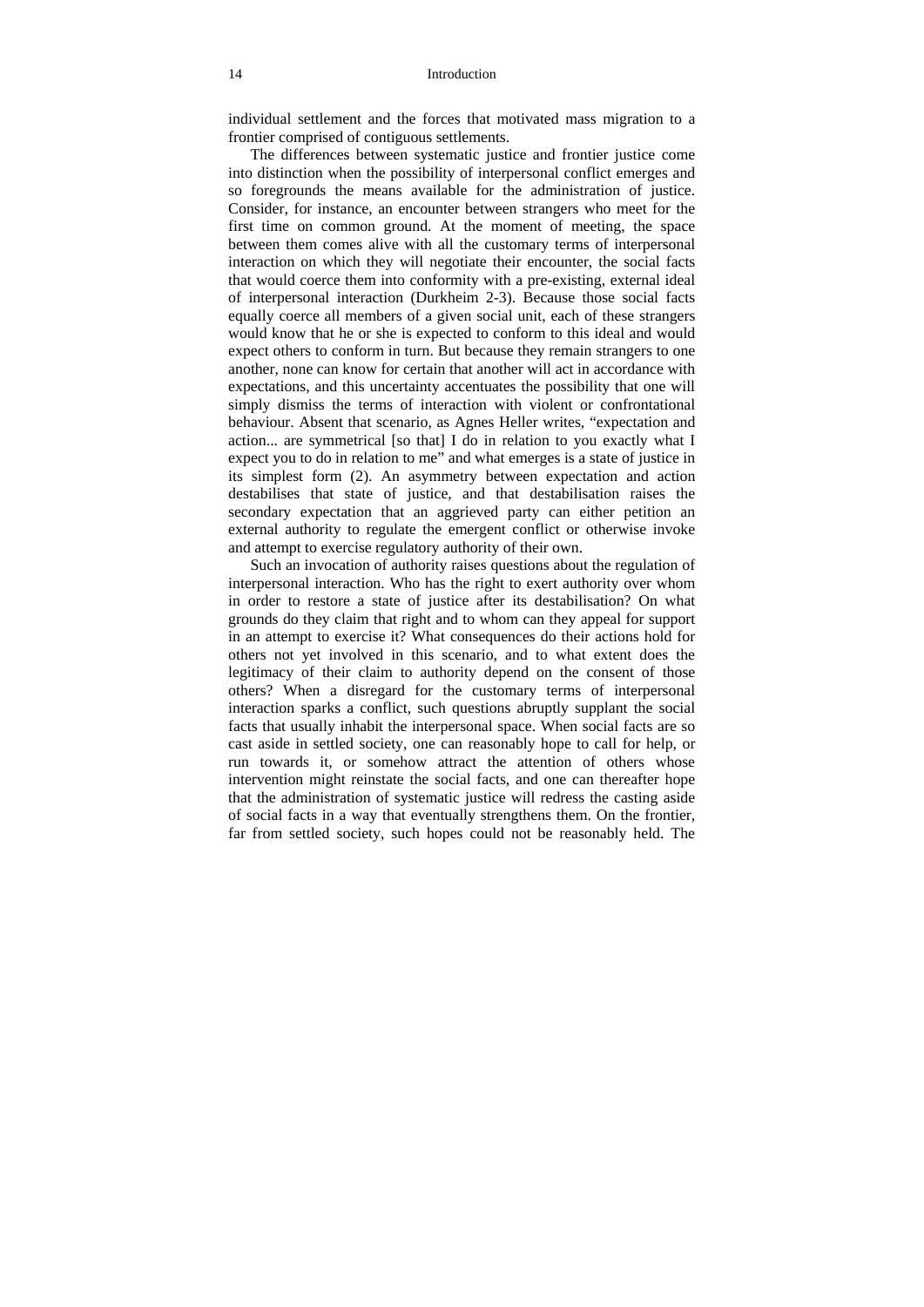individual settlement and the forces that motivated mass migration to a frontier comprised of contiguous settlements.

The differences between systematic justice and frontier justice come into distinction when the possibility of interpersonal conflict emerges and so foregrounds the means available for the administration of justice. Consider, for instance, an encounter between strangers who meet for the first time on common ground. At the moment of meeting, the space between them comes alive with all the customary terms of interpersonal interaction on which they will negotiate their encounter, the social facts that would coerce them into conformity with a pre-existing, external ideal of interpersonal interaction (Durkheim 2-3). Because those social facts equally coerce all members of a given social unit, each of these strangers would know that he or she is expected to conform to this ideal and would expect others to conform in turn. But because they remain strangers to one another, none can know for certain that another will act in accordance with expectations, and this uncertainty accentuates the possibility that one will simply dismiss the terms of interaction with violent or confrontational behaviour. Absent that scenario, as Agnes Heller writes, "expectation and action... are symmetrical [so that] I do in relation to you exactly what I expect you to do in relation to me" and what emerges is a state of justice in its simplest form (2). An asymmetry between expectation and action destabilises that state of justice, and that destabilisation raises the secondary expectation that an aggrieved party can either petition an external authority to regulate the emergent conflict or otherwise invoke and attempt to exercise regulatory authority of their own.

Such an invocation of authority raises questions about the regulation of interpersonal interaction. Who has the right to exert authority over whom in order to restore a state of justice after its destabilisation? On what grounds do they claim that right and to whom can they appeal for support in an attempt to exercise it? What consequences do their actions hold for others not yet involved in this scenario, and to what extent does the legitimacy of their claim to authority depend on the consent of those others? When a disregard for the customary terms of interpersonal interaction sparks a conflict, such questions abruptly supplant the social facts that usually inhabit the interpersonal space. When social facts are so cast aside in settled society, one can reasonably hope to call for help, or run towards it, or somehow attract the attention of others whose intervention might reinstate the social facts, and one can thereafter hope that the administration of systematic justice will redress the casting aside of social facts in a way that eventually strengthens them. On the frontier, far from settled society, such hopes could not be reasonably held. The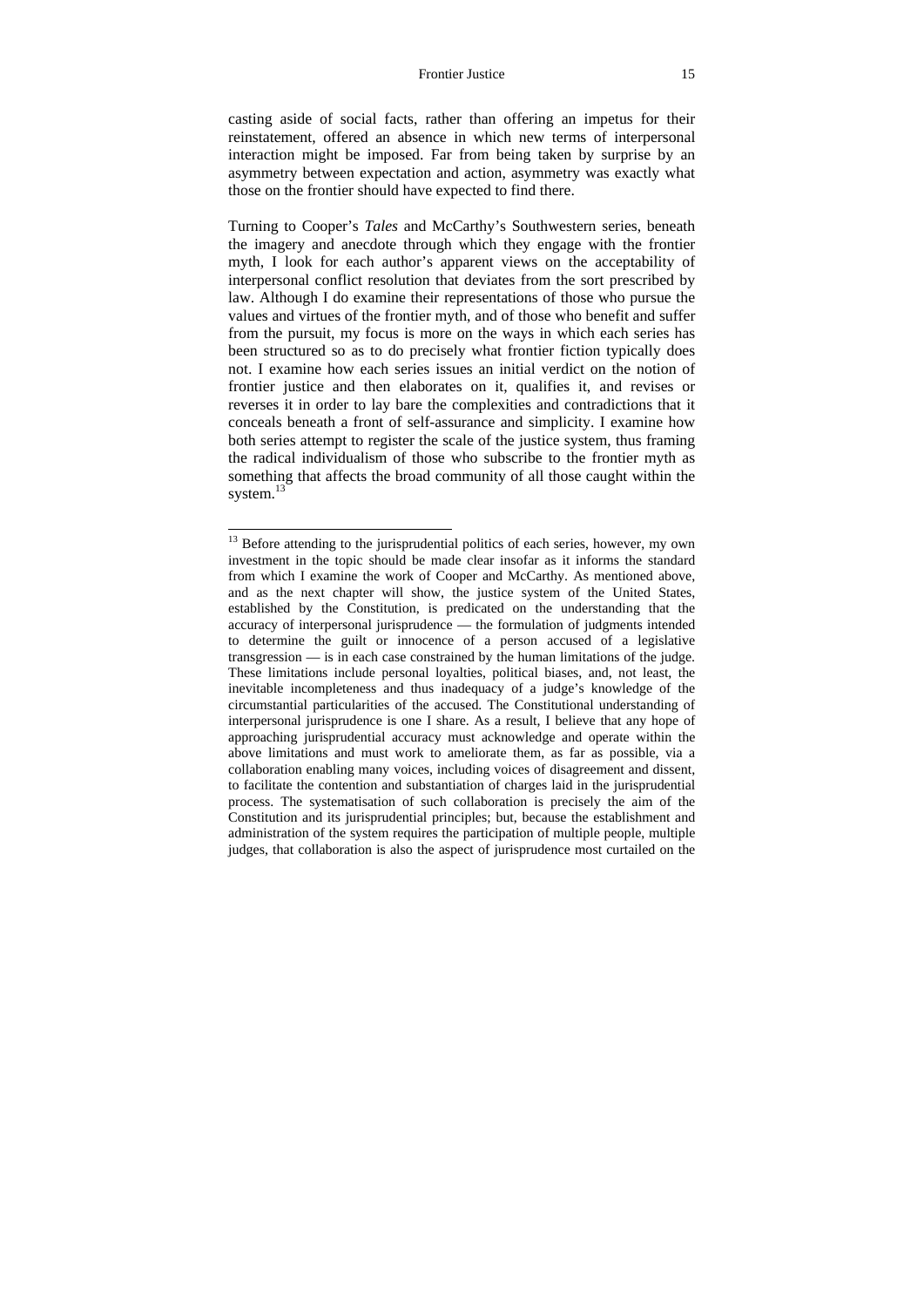#### Frontier Justice 15

casting aside of social facts, rather than offering an impetus for their reinstatement, offered an absence in which new terms of interpersonal interaction might be imposed. Far from being taken by surprise by an asymmetry between expectation and action, asymmetry was exactly what those on the frontier should have expected to find there.

Turning to Cooper's *Tales* and McCarthy's Southwestern series, beneath the imagery and anecdote through which they engage with the frontier myth, I look for each author's apparent views on the acceptability of interpersonal conflict resolution that deviates from the sort prescribed by law. Although I do examine their representations of those who pursue the values and virtues of the frontier myth, and of those who benefit and suffer from the pursuit, my focus is more on the ways in which each series has been structured so as to do precisely what frontier fiction typically does not. I examine how each series issues an initial verdict on the notion of frontier justice and then elaborates on it, qualifies it, and revises or reverses it in order to lay bare the complexities and contradictions that it conceals beneath a front of self-assurance and simplicity. I examine how both series attempt to register the scale of the justice system, thus framing the radical individualism of those who subscribe to the frontier myth as something that affects the broad community of all those caught within the system.<sup>13</sup>

<sup>&</sup>lt;sup>13</sup> Before attending to the jurisprudential politics of each series, however, my own investment in the topic should be made clear insofar as it informs the standard from which I examine the work of Cooper and McCarthy. As mentioned above, and as the next chapter will show, the justice system of the United States, established by the Constitution, is predicated on the understanding that the accuracy of interpersonal jurisprudence — the formulation of judgments intended to determine the guilt or innocence of a person accused of a legislative transgression — is in each case constrained by the human limitations of the judge. These limitations include personal loyalties, political biases, and, not least, the inevitable incompleteness and thus inadequacy of a judge's knowledge of the circumstantial particularities of the accused. The Constitutional understanding of interpersonal jurisprudence is one I share. As a result, I believe that any hope of approaching jurisprudential accuracy must acknowledge and operate within the above limitations and must work to ameliorate them, as far as possible, via a collaboration enabling many voices, including voices of disagreement and dissent, to facilitate the contention and substantiation of charges laid in the jurisprudential process. The systematisation of such collaboration is precisely the aim of the Constitution and its jurisprudential principles; but, because the establishment and administration of the system requires the participation of multiple people, multiple judges, that collaboration is also the aspect of jurisprudence most curtailed on the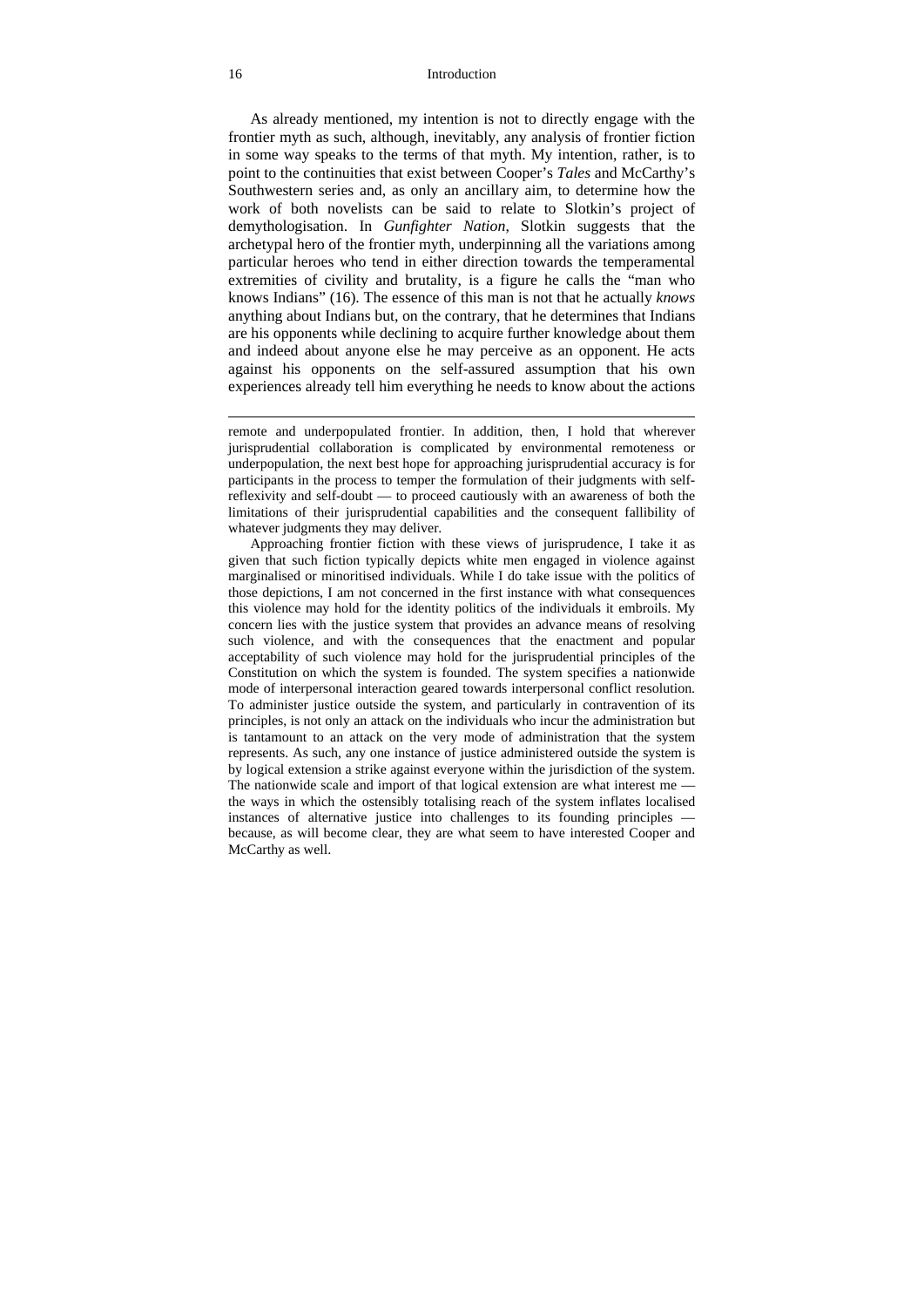#### 16 Introduction

As already mentioned, my intention is not to directly engage with the frontier myth as such, although, inevitably, any analysis of frontier fiction in some way speaks to the terms of that myth. My intention, rather, is to point to the continuities that exist between Cooper's *Tales* and McCarthy's Southwestern series and, as only an ancillary aim, to determine how the work of both novelists can be said to relate to Slotkin's project of demythologisation. In *Gunfighter Nation*, Slotkin suggests that the archetypal hero of the frontier myth, underpinning all the variations among particular heroes who tend in either direction towards the temperamental extremities of civility and brutality, is a figure he calls the "man who knows Indians" (16). The essence of this man is not that he actually *knows* anything about Indians but, on the contrary, that he determines that Indians are his opponents while declining to acquire further knowledge about them and indeed about anyone else he may perceive as an opponent. He acts against his opponents on the self-assured assumption that his own experiences already tell him everything he needs to know about the actions

remote and underpopulated frontier. In addition, then, I hold that wherever jurisprudential collaboration is complicated by environmental remoteness or underpopulation, the next best hope for approaching jurisprudential accuracy is for participants in the process to temper the formulation of their judgments with selfreflexivity and self-doubt — to proceed cautiously with an awareness of both the limitations of their jurisprudential capabilities and the consequent fallibility of whatever judgments they may deliver.

 Approaching frontier fiction with these views of jurisprudence, I take it as given that such fiction typically depicts white men engaged in violence against marginalised or minoritised individuals. While I do take issue with the politics of those depictions, I am not concerned in the first instance with what consequences this violence may hold for the identity politics of the individuals it embroils. My concern lies with the justice system that provides an advance means of resolving such violence, and with the consequences that the enactment and popular acceptability of such violence may hold for the jurisprudential principles of the Constitution on which the system is founded. The system specifies a nationwide mode of interpersonal interaction geared towards interpersonal conflict resolution. To administer justice outside the system, and particularly in contravention of its principles, is not only an attack on the individuals who incur the administration but is tantamount to an attack on the very mode of administration that the system represents. As such, any one instance of justice administered outside the system is by logical extension a strike against everyone within the jurisdiction of the system. The nationwide scale and import of that logical extension are what interest me the ways in which the ostensibly totalising reach of the system inflates localised instances of alternative justice into challenges to its founding principles because, as will become clear, they are what seem to have interested Cooper and McCarthy as well.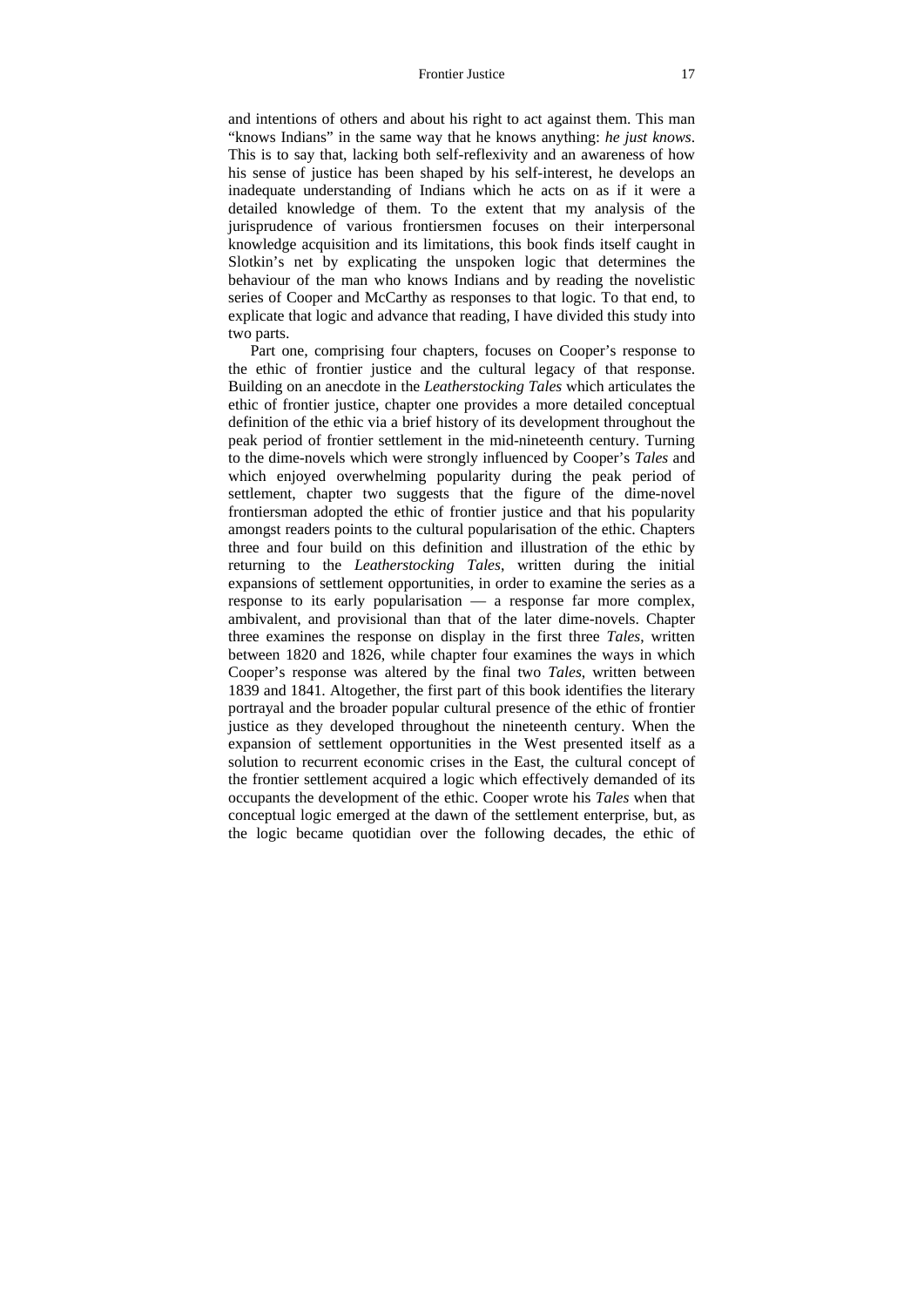#### Frontier Justice 17

and intentions of others and about his right to act against them. This man "knows Indians" in the same way that he knows anything: *he just knows*. This is to say that, lacking both self-reflexivity and an awareness of how his sense of justice has been shaped by his self-interest, he develops an inadequate understanding of Indians which he acts on as if it were a detailed knowledge of them. To the extent that my analysis of the jurisprudence of various frontiersmen focuses on their interpersonal knowledge acquisition and its limitations, this book finds itself caught in Slotkin's net by explicating the unspoken logic that determines the behaviour of the man who knows Indians and by reading the novelistic series of Cooper and McCarthy as responses to that logic. To that end, to explicate that logic and advance that reading, I have divided this study into two parts.

Part one, comprising four chapters, focuses on Cooper's response to the ethic of frontier justice and the cultural legacy of that response. Building on an anecdote in the *Leatherstocking Tales* which articulates the ethic of frontier justice, chapter one provides a more detailed conceptual definition of the ethic via a brief history of its development throughout the peak period of frontier settlement in the mid-nineteenth century. Turning to the dime-novels which were strongly influenced by Cooper's *Tales* and which enjoyed overwhelming popularity during the peak period of settlement, chapter two suggests that the figure of the dime-novel frontiersman adopted the ethic of frontier justice and that his popularity amongst readers points to the cultural popularisation of the ethic. Chapters three and four build on this definition and illustration of the ethic by returning to the *Leatherstocking Tales*, written during the initial expansions of settlement opportunities, in order to examine the series as a response to its early popularisation — a response far more complex, ambivalent, and provisional than that of the later dime-novels. Chapter three examines the response on display in the first three *Tales*, written between 1820 and 1826, while chapter four examines the ways in which Cooper's response was altered by the final two *Tales*, written between 1839 and 1841. Altogether, the first part of this book identifies the literary portrayal and the broader popular cultural presence of the ethic of frontier justice as they developed throughout the nineteenth century. When the expansion of settlement opportunities in the West presented itself as a solution to recurrent economic crises in the East, the cultural concept of the frontier settlement acquired a logic which effectively demanded of its occupants the development of the ethic. Cooper wrote his *Tales* when that conceptual logic emerged at the dawn of the settlement enterprise, but, as the logic became quotidian over the following decades, the ethic of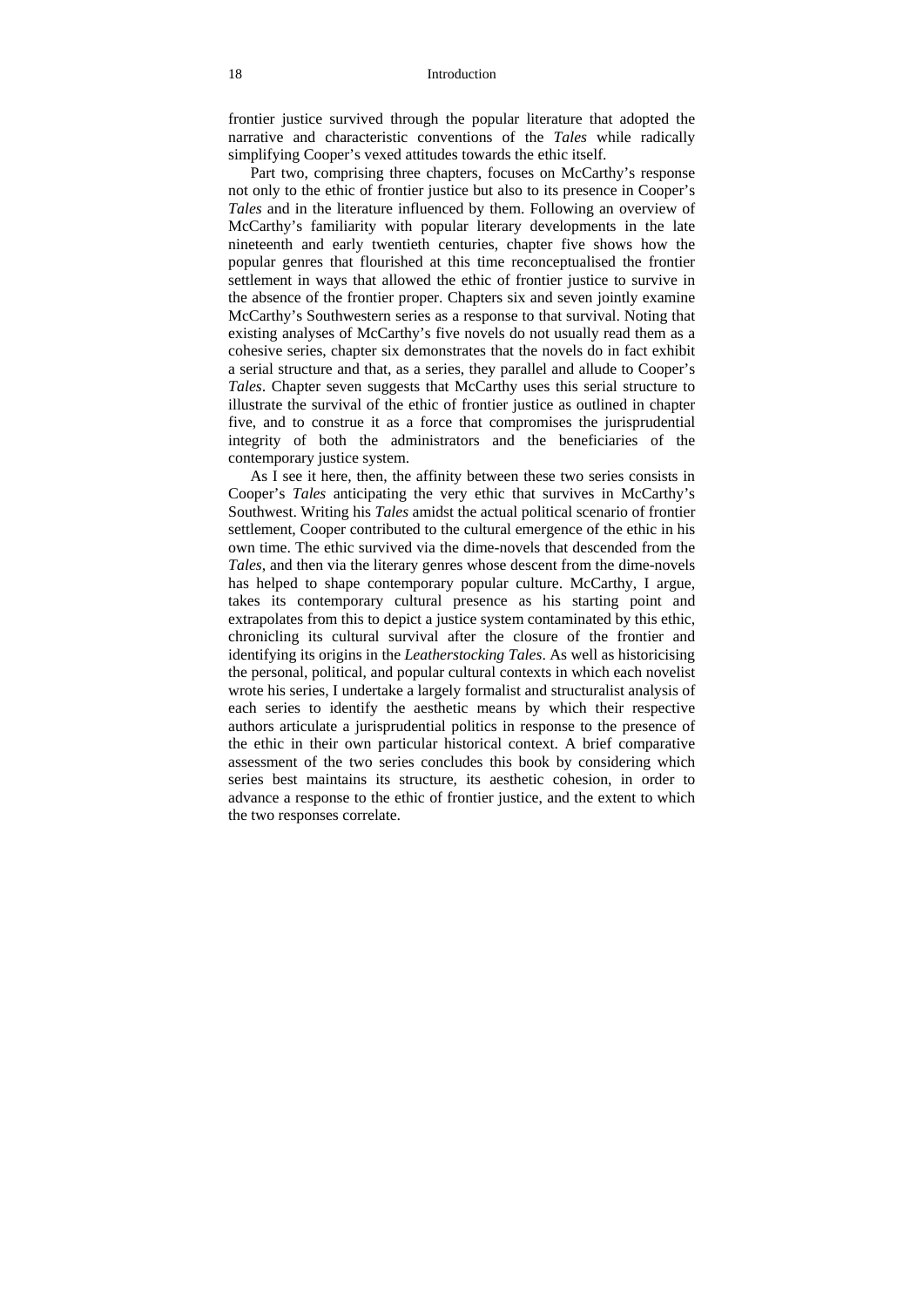#### 18 Introduction

frontier justice survived through the popular literature that adopted the narrative and characteristic conventions of the *Tales* while radically simplifying Cooper's vexed attitudes towards the ethic itself.

Part two, comprising three chapters, focuses on McCarthy's response not only to the ethic of frontier justice but also to its presence in Cooper's *Tales* and in the literature influenced by them. Following an overview of McCarthy's familiarity with popular literary developments in the late nineteenth and early twentieth centuries, chapter five shows how the popular genres that flourished at this time reconceptualised the frontier settlement in ways that allowed the ethic of frontier justice to survive in the absence of the frontier proper. Chapters six and seven jointly examine McCarthy's Southwestern series as a response to that survival. Noting that existing analyses of McCarthy's five novels do not usually read them as a cohesive series, chapter six demonstrates that the novels do in fact exhibit a serial structure and that, as a series, they parallel and allude to Cooper's *Tales*. Chapter seven suggests that McCarthy uses this serial structure to illustrate the survival of the ethic of frontier justice as outlined in chapter five, and to construe it as a force that compromises the jurisprudential integrity of both the administrators and the beneficiaries of the contemporary justice system.

As I see it here, then, the affinity between these two series consists in Cooper's *Tales* anticipating the very ethic that survives in McCarthy's Southwest. Writing his *Tales* amidst the actual political scenario of frontier settlement, Cooper contributed to the cultural emergence of the ethic in his own time. The ethic survived via the dime-novels that descended from the *Tales*, and then via the literary genres whose descent from the dime-novels has helped to shape contemporary popular culture. McCarthy, I argue, takes its contemporary cultural presence as his starting point and extrapolates from this to depict a justice system contaminated by this ethic, chronicling its cultural survival after the closure of the frontier and identifying its origins in the *Leatherstocking Tales*. As well as historicising the personal, political, and popular cultural contexts in which each novelist wrote his series, I undertake a largely formalist and structuralist analysis of each series to identify the aesthetic means by which their respective authors articulate a jurisprudential politics in response to the presence of the ethic in their own particular historical context. A brief comparative assessment of the two series concludes this book by considering which series best maintains its structure, its aesthetic cohesion, in order to advance a response to the ethic of frontier justice, and the extent to which the two responses correlate.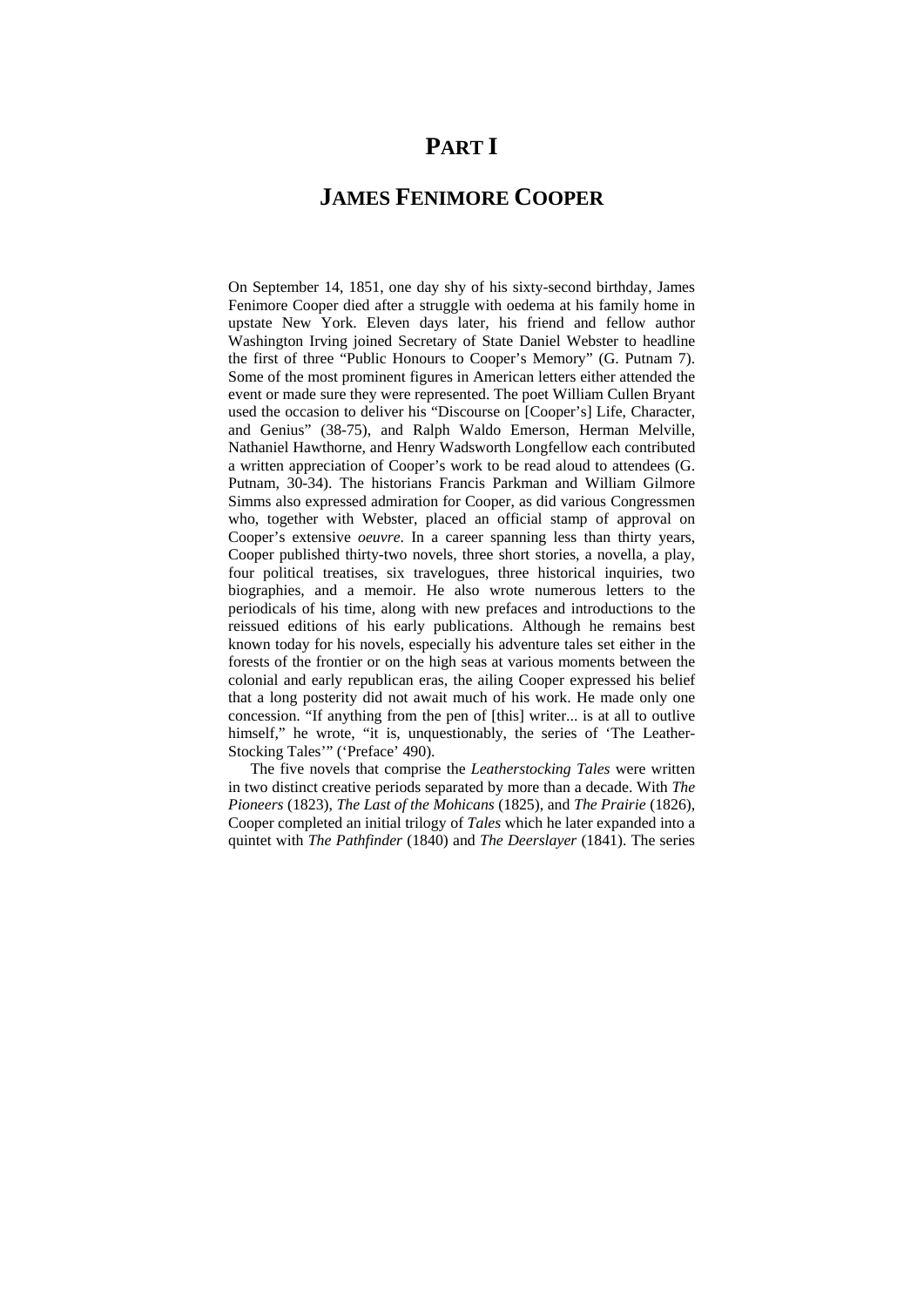## **PART I**

## **JAMES FENIMORE COOPER**

On September 14, 1851, one day shy of his sixty-second birthday, James Fenimore Cooper died after a struggle with oedema at his family home in upstate New York. Eleven days later, his friend and fellow author Washington Irving joined Secretary of State Daniel Webster to headline the first of three "Public Honours to Cooper's Memory" (G. Putnam 7). Some of the most prominent figures in American letters either attended the event or made sure they were represented. The poet William Cullen Bryant used the occasion to deliver his "Discourse on [Cooper's] Life, Character, and Genius" (38-75), and Ralph Waldo Emerson, Herman Melville, Nathaniel Hawthorne, and Henry Wadsworth Longfellow each contributed a written appreciation of Cooper's work to be read aloud to attendees (G. Putnam, 30-34). The historians Francis Parkman and William Gilmore Simms also expressed admiration for Cooper, as did various Congressmen who, together with Webster, placed an official stamp of approval on Cooper's extensive *oeuvre*. In a career spanning less than thirty years, Cooper published thirty-two novels, three short stories, a novella, a play, four political treatises, six travelogues, three historical inquiries, two biographies, and a memoir. He also wrote numerous letters to the periodicals of his time, along with new prefaces and introductions to the reissued editions of his early publications. Although he remains best known today for his novels, especially his adventure tales set either in the forests of the frontier or on the high seas at various moments between the colonial and early republican eras, the ailing Cooper expressed his belief that a long posterity did not await much of his work. He made only one concession. "If anything from the pen of [this] writer... is at all to outlive himself," he wrote, "it is, unquestionably, the series of 'The Leather-Stocking Tales'" ('Preface' 490).

The five novels that comprise the *Leatherstocking Tales* were written in two distinct creative periods separated by more than a decade. With *The Pioneers* (1823), *The Last of the Mohicans* (1825), and *The Prairie* (1826), Cooper completed an initial trilogy of *Tales* which he later expanded into a quintet with *The Pathfinder* (1840) and *The Deerslayer* (1841). The series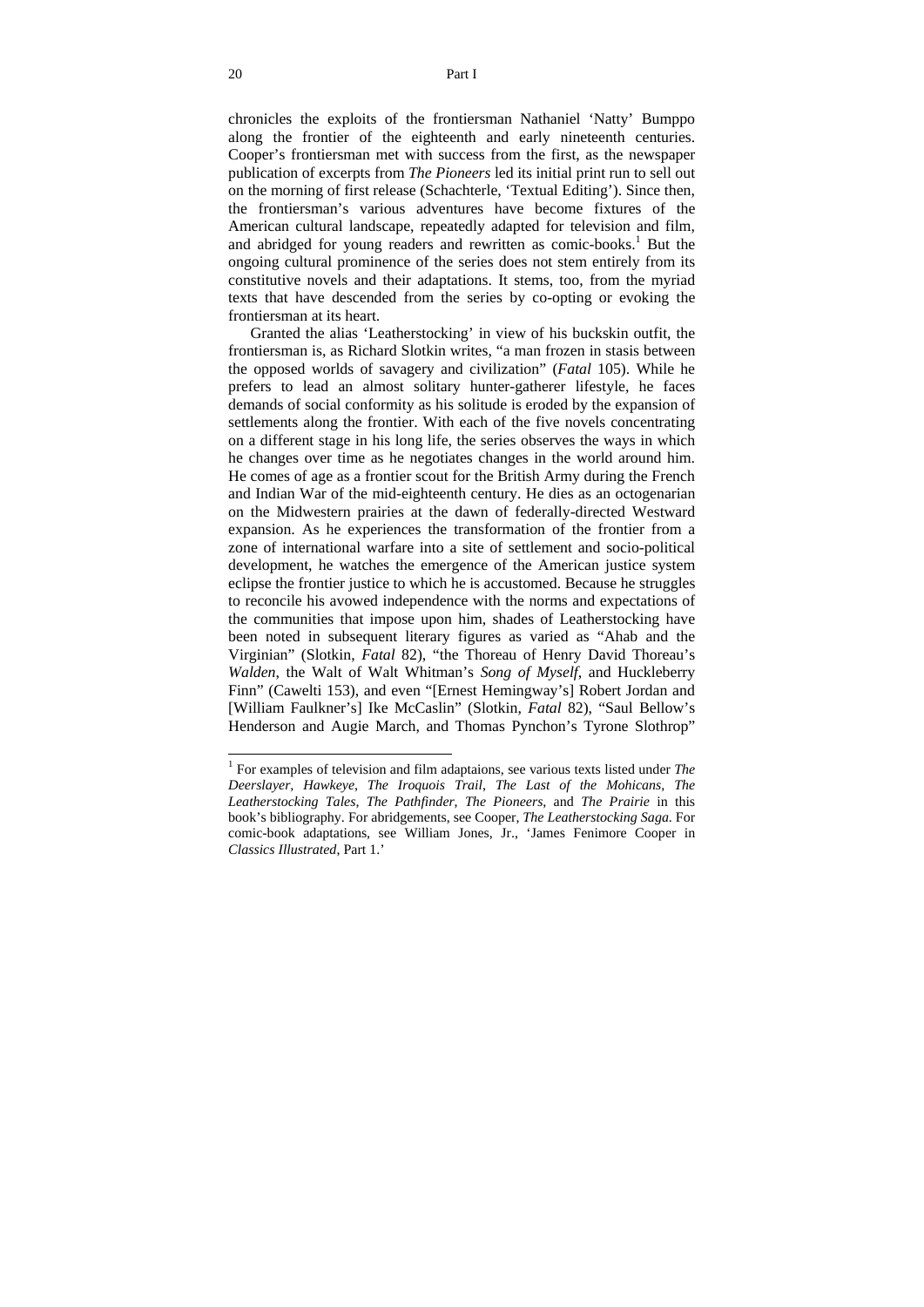chronicles the exploits of the frontiersman Nathaniel 'Natty' Bumppo along the frontier of the eighteenth and early nineteenth centuries. Cooper's frontiersman met with success from the first, as the newspaper publication of excerpts from *The Pioneers* led its initial print run to sell out on the morning of first release (Schachterle, 'Textual Editing'). Since then, the frontiersman's various adventures have become fixtures of the American cultural landscape, repeatedly adapted for television and film, and abridged for young readers and rewritten as comic-books.<sup>1</sup> But the ongoing cultural prominence of the series does not stem entirely from its constitutive novels and their adaptations. It stems, too, from the myriad texts that have descended from the series by co-opting or evoking the frontiersman at its heart.

Granted the alias 'Leatherstocking' in view of his buckskin outfit, the frontiersman is, as Richard Slotkin writes, "a man frozen in stasis between the opposed worlds of savagery and civilization" (*Fatal* 105). While he prefers to lead an almost solitary hunter-gatherer lifestyle, he faces demands of social conformity as his solitude is eroded by the expansion of settlements along the frontier. With each of the five novels concentrating on a different stage in his long life, the series observes the ways in which he changes over time as he negotiates changes in the world around him. He comes of age as a frontier scout for the British Army during the French and Indian War of the mid-eighteenth century. He dies as an octogenarian on the Midwestern prairies at the dawn of federally-directed Westward expansion. As he experiences the transformation of the frontier from a zone of international warfare into a site of settlement and socio-political development, he watches the emergence of the American justice system eclipse the frontier justice to which he is accustomed. Because he struggles to reconcile his avowed independence with the norms and expectations of the communities that impose upon him, shades of Leatherstocking have been noted in subsequent literary figures as varied as "Ahab and the Virginian" (Slotkin, *Fatal* 82), "the Thoreau of Henry David Thoreau's *Walden*, the Walt of Walt Whitman's *Song of Myself*, and Huckleberry Finn" (Cawelti 153), and even "[Ernest Hemingway's] Robert Jordan and [William Faulkner's] Ike McCaslin" (Slotkin, *Fatal* 82), "Saul Bellow's Henderson and Augie March, and Thomas Pynchon's Tyrone Slothrop"

<sup>1</sup> For examples of television and film adaptaions, see various texts listed under *The Deerslayer, Hawkeye*, *The Iroquois Trail*, *The Last of the Mohicans*, *The Leatherstocking Tales*, *The Pathfinder*, *The Pioneers*, and *The Prairie* in this book's bibliography. For abridgements, see Cooper, *The Leatherstocking Saga*. For comic-book adaptations, see William Jones, Jr., 'James Fenimore Cooper in *Classics Illustrated*, Part 1.'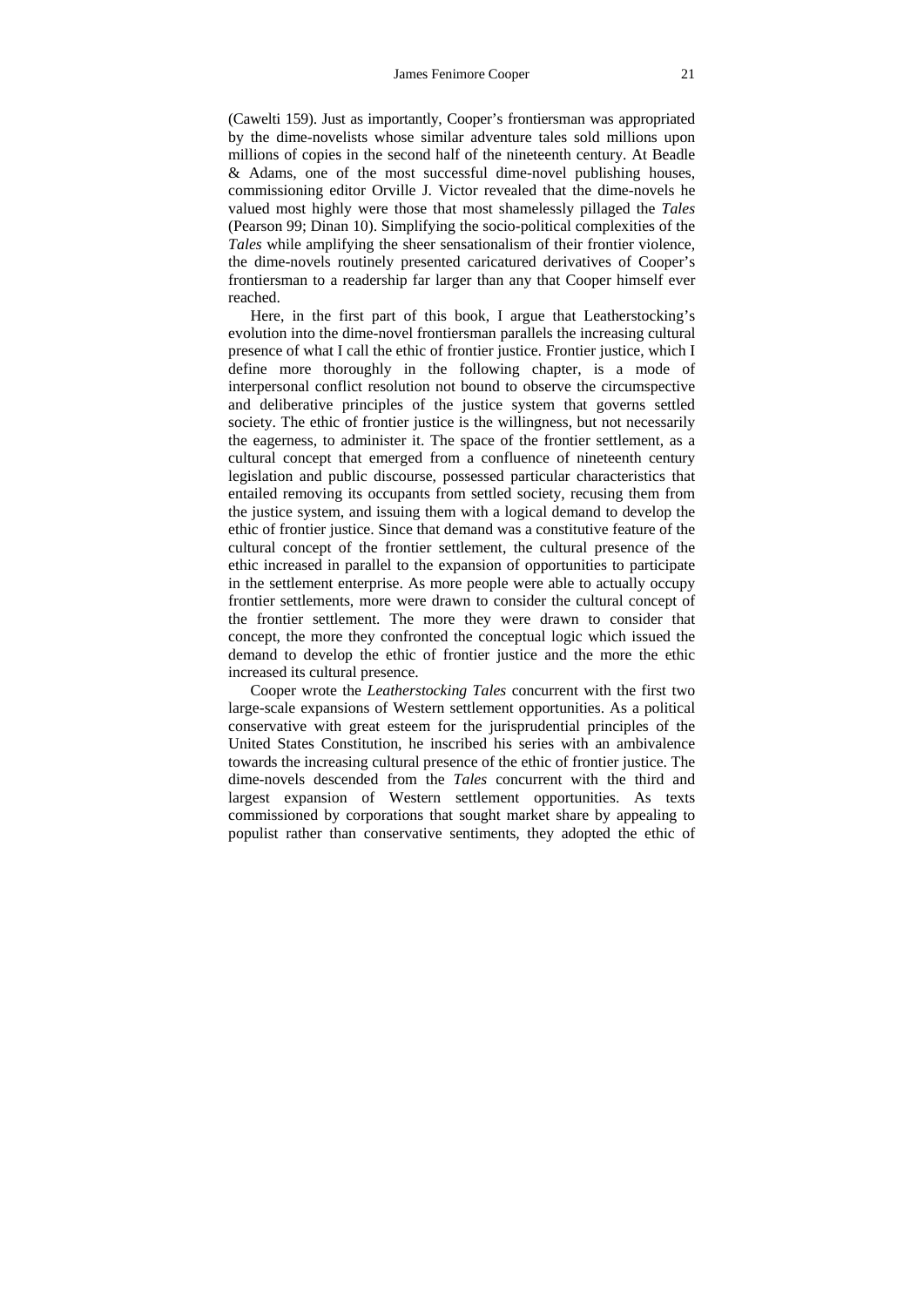(Cawelti 159). Just as importantly, Cooper's frontiersman was appropriated by the dime-novelists whose similar adventure tales sold millions upon millions of copies in the second half of the nineteenth century. At Beadle & Adams, one of the most successful dime-novel publishing houses, commissioning editor Orville J. Victor revealed that the dime-novels he valued most highly were those that most shamelessly pillaged the *Tales* (Pearson 99; Dinan 10). Simplifying the socio-political complexities of the *Tales* while amplifying the sheer sensationalism of their frontier violence, the dime-novels routinely presented caricatured derivatives of Cooper's frontiersman to a readership far larger than any that Cooper himself ever reached.

Here, in the first part of this book, I argue that Leatherstocking's evolution into the dime-novel frontiersman parallels the increasing cultural presence of what I call the ethic of frontier justice. Frontier justice, which I define more thoroughly in the following chapter, is a mode of interpersonal conflict resolution not bound to observe the circumspective and deliberative principles of the justice system that governs settled society. The ethic of frontier justice is the willingness, but not necessarily the eagerness, to administer it. The space of the frontier settlement, as a cultural concept that emerged from a confluence of nineteenth century legislation and public discourse, possessed particular characteristics that entailed removing its occupants from settled society, recusing them from the justice system, and issuing them with a logical demand to develop the ethic of frontier justice. Since that demand was a constitutive feature of the cultural concept of the frontier settlement, the cultural presence of the ethic increased in parallel to the expansion of opportunities to participate in the settlement enterprise. As more people were able to actually occupy frontier settlements, more were drawn to consider the cultural concept of the frontier settlement. The more they were drawn to consider that concept, the more they confronted the conceptual logic which issued the demand to develop the ethic of frontier justice and the more the ethic increased its cultural presence.

Cooper wrote the *Leatherstocking Tales* concurrent with the first two large-scale expansions of Western settlement opportunities. As a political conservative with great esteem for the jurisprudential principles of the United States Constitution, he inscribed his series with an ambivalence towards the increasing cultural presence of the ethic of frontier justice. The dime-novels descended from the *Tales* concurrent with the third and largest expansion of Western settlement opportunities. As texts commissioned by corporations that sought market share by appealing to populist rather than conservative sentiments, they adopted the ethic of